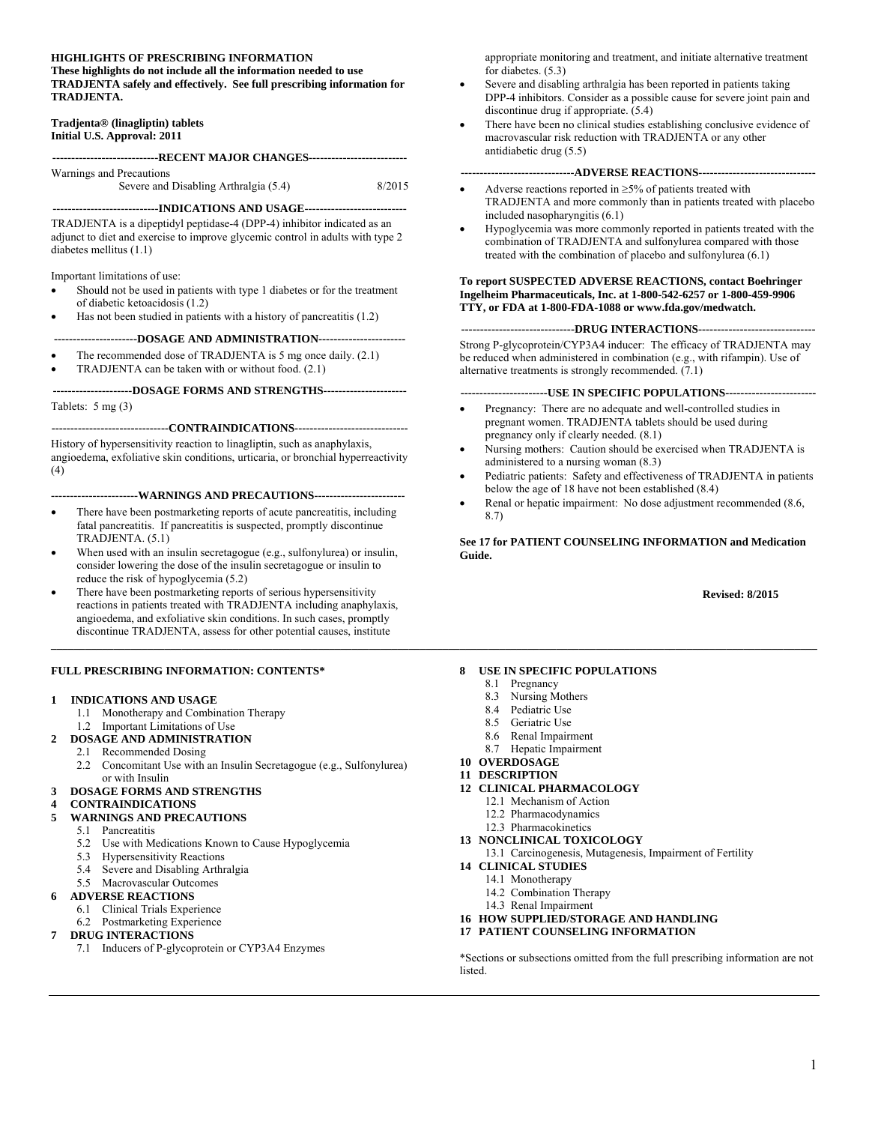## **HIGHLIGHTS OF PRESCRIBING INFORMATION**

**These highlights do not include all the information needed to use TRADJENTA safely and effectively. See full prescribing information for TRADJENTA.** 

## **Tradjenta® (linagliptin) tablets Initial U.S. Approval: 2011**

**----------------------------RECENT MAJOR CHANGES--------------------------**  Warnings and Precautions

Severe and Disabling Arthralgia (5.4) 8/2015

**----------------------------INDICATIONS AND USAGE---------------------------** 

TRADJENTA is a dipeptidyl peptidase-4 (DPP-4) inhibitor indicated as an adjunct to diet and exercise to improve glycemic control in adults with type 2 diabetes mellitus (1.1)

Important limitations of use:

- Should not be used in patients with type 1 diabetes or for the treatment of diabetic ketoacidosis (1.2)
- Has not been studied in patients with a history of pancreatitis (1.2)

**----------------------DOSAGE AND ADMINISTRATION-----------------------** 

- The recommended dose of TRADJENTA is 5 mg once daily. (2.1)
- TRADJENTA can be taken with or without food. (2.1)

**---------------------DOSAGE FORMS AND STRENGTHS----------------------**  Tablets: 5 mg (3)

## **-------------------------------CONTRAINDICATIONS------------------------------**

History of hypersensitivity reaction to linagliptin, such as anaphylaxis, angioedema, exfoliative skin conditions, urticaria, or bronchial hyperreactivity (4)

**-----------------------WARNINGS AND PRECAUTIONS------------------------** 

- There have been postmarketing reports of acute pancreatitis, including fatal pancreatitis. If pancreatitis is suspected, promptly discontinue TRADJENTA. (5.1)
- When used with an insulin secretagogue (e.g., sulfonylurea) or insulin, consider lowering the dose of the insulin secretagogue or insulin to reduce the risk of hypoglycemia (5.2)
- There have been postmarketing reports of serious hypersensitivity reactions in patients treated with TRADJENTA including anaphylaxis, angioedema, and exfoliative skin conditions. In such cases, promptly discontinue TRADJENTA, assess for other potential causes, institute

## **FULL PRESCRIBING INFORMATION: CONTENTS\***

## **1 INDICATIONS AND USAGE**

1.1 Monotherapy and Combination Therapy 1.2 Important Limitations of Use

## **2 DOSAGE AND ADMINISTRATION**

- 2.1 Recommended Dosing
- 2.2 Concomitant Use with an Insulin Secretagogue (e.g., Sulfonylurea) or with Insulin

## **3 DOSAGE FORMS AND STRENGTHS**

- **4 CONTRAINDICATIONS**
- **5 WARNINGS AND PRECAUTIONS** 
	- 5.1 Pancreatitis
	- 5.2 Use with Medications Known to Cause Hypoglycemia
	- 5.3 Hypersensitivity Reactions
	- 5.4 Severe and Disabling Arthralgia
	- 5.5 Macrovascular Outcomes

## **6 ADVERSE REACTIONS**

- 6.1 Clinical Trials Experience
- 6.2 Postmarketing Experience
- **7 DRUG INTERACTIONS** 
	- 7.1 Inducers of P-glycoprotein or CYP3A4 Enzymes

appropriate monitoring and treatment, and initiate alternative treatment for diabetes. (5.3)

- Severe and disabling arthralgia has been reported in patients taking DPP-4 inhibitors. Consider as a possible cause for severe joint pain and discontinue drug if appropriate. (5.4)
- There have been no clinical studies establishing conclusive evidence of macrovascular risk reduction with TRADJENTA or any other antidiabetic drug (5.5)

## **------------------------------ADVERSE REACTIONS-------------------------------**

- Adverse reactions reported in  $\geq$ 5% of patients treated with TRADJENTA and more commonly than in patients treated with placebo included nasopharyngitis (6.1)
- Hypoglycemia was more commonly reported in patients treated with the combination of TRADJENTA and sulfonylurea compared with those treated with the combination of placebo and sulfonylurea (6.1)

## **To report SUSPECTED ADVERSE REACTIONS, contact Boehringer Ingelheim Pharmaceuticals, Inc. at 1-800-542-6257 or 1-800-459-9906 TTY, or FDA at 1-800-FDA-1088 or www.fda.gov/medwatch.**

## **------------------------------DRUG INTERACTIONS-------------------------------**

Strong P-glycoprotein/CYP3A4 inducer: The efficacy of TRADJENTA may be reduced when administered in combination (e.g., with rifampin). Use of alternative treatments is strongly recommended. (7.1)

**-----------------------USE IN SPECIFIC POPULATIONS------------------------** 

- Pregnancy: There are no adequate and well-controlled studies in pregnant women. TRADJENTA tablets should be used during pregnancy only if clearly needed. (8.1)
- Nursing mothers: Caution should be exercised when TRADJENTA is administered to a nursing woman (8.3)
- Pediatric patients: Safety and effectiveness of TRADJENTA in patients below the age of 18 have not been established (8.4)
- Renal or hepatic impairment: No dose adjustment recommended (8.6, 8.7)

## **See 17 for PATIENT COUNSELING INFORMATION and Medication Guide.**

## **Revised: 8/2015**

## **8 USE IN SPECIFIC POPULATIONS**

- 8.1 Pregnancy
- 8.3 Nursing Mothers<br>8.4 Pediatric Use
- Pediatric Use
- 8.5 Geriatric Use
- 8.6 Renal Impairment
- 8.7 Hepatic Impairment
- **10 OVERDOSAGE**

**\_\_\_\_\_\_\_\_\_\_\_\_\_\_\_\_\_\_\_\_\_\_\_\_\_\_\_\_\_\_\_\_\_\_\_\_\_\_\_\_\_\_\_\_\_\_\_\_\_\_\_\_\_\_\_\_\_\_\_\_\_\_\_\_\_\_\_\_\_\_\_\_\_\_\_\_\_\_\_\_\_\_\_\_\_\_\_\_\_\_\_\_\_\_\_\_\_\_\_\_\_\_\_\_\_\_\_\_\_\_\_\_\_\_\_\_\_\_\_\_\_\_\_\_\_\_\_\_\_\_\_\_\_\_\_** 

- **11 DESCRIPTION**
- **12 CLINICAL PHARMACOLOGY** 
	- 12.1 Mechanism of Action
	- 12.2 Pharmacodynamics
	- 12.3 Pharmacokinetics
- **13 NONCLINICAL TOXICOLOGY**
- 13.1 Carcinogenesis, Mutagenesis, Impairment of Fertility
- **14 CLINICAL STUDIES** 
	- 14.1 Monotherapy
	- 14.2 Combination Therapy
	- 14.3 Renal Impairment
- **16 HOW SUPPLIED/STORAGE AND HANDLING**
- **17 PATIENT COUNSELING INFORMATION**

\*Sections or subsections omitted from the full prescribing information are not listed.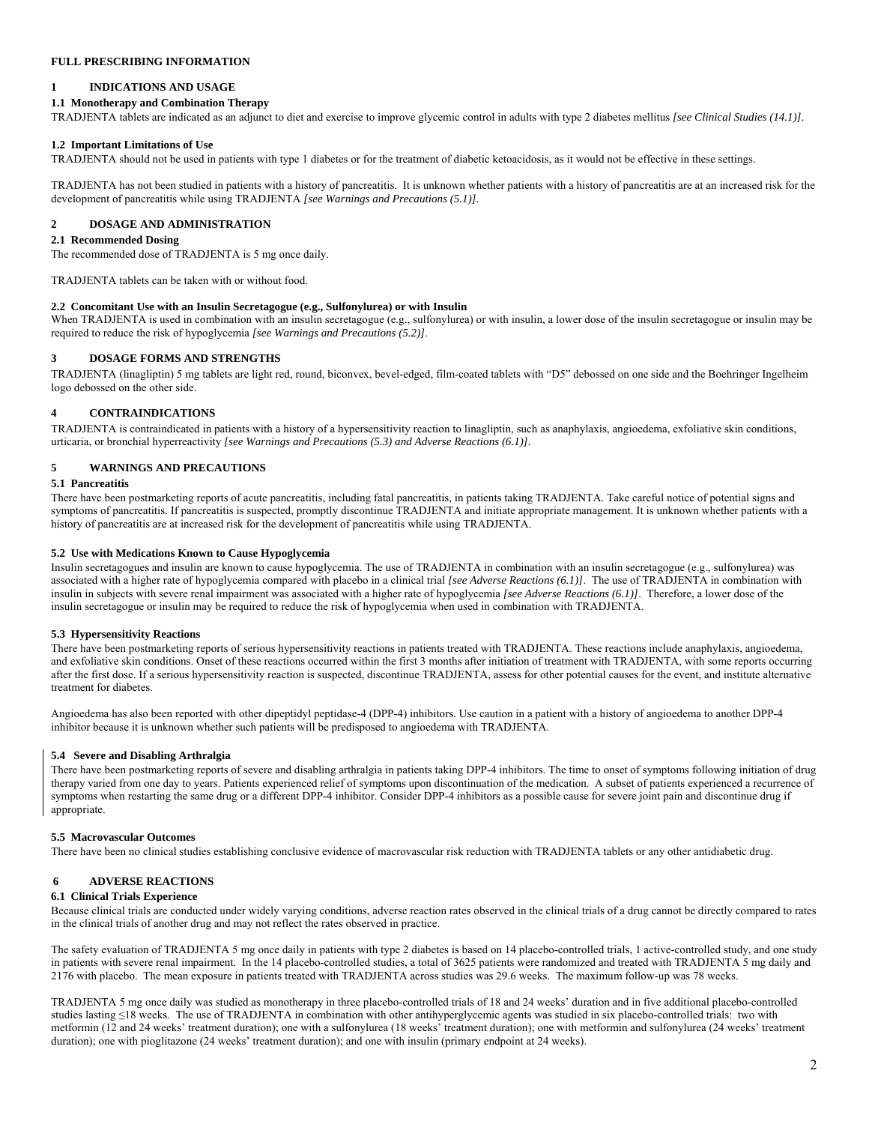## **FULL PRESCRIBING INFORMATION**

## **1 INDICATIONS AND USAGE**

## **1.1 Monotherapy and Combination Therapy**

TRADJENTA tablets are indicated as an adjunct to diet and exercise to improve glycemic control in adults with type 2 diabetes mellitus *[see Clinical Studies (14.1)].*

## **1.2 Important Limitations of Use**

TRADJENTA should not be used in patients with type 1 diabetes or for the treatment of diabetic ketoacidosis, as it would not be effective in these settings.

TRADJENTA has not been studied in patients with a history of pancreatitis. It is unknown whether patients with a history of pancreatitis are at an increased risk for the development of pancreatitis while using TRADJENTA *[see Warnings and Precautions (5.1)].*

## **2 DOSAGE AND ADMINISTRATION**

## **2.1 Recommended Dosing**

The recommended dose of TRADJENTA is 5 mg once daily.

TRADJENTA tablets can be taken with or without food.

## **2.2 Concomitant Use with an Insulin Secretagogue (e.g., Sulfonylurea) or with Insulin**

When TRADJENTA is used in combination with an insulin secretagogue (e.g., sulfonylurea) or with insulin, a lower dose of the insulin secretagogue or insulin may be required to reduce the risk of hypoglycemia *[see Warnings and Precautions (5.2)]*.

## **3 DOSAGE FORMS AND STRENGTHS**

TRADJENTA (linagliptin) 5 mg tablets are light red, round, biconvex, bevel-edged, film-coated tablets with "D5" debossed on one side and the Boehringer Ingelheim logo debossed on the other side.

## **4 CONTRAINDICATIONS**

TRADJENTA is contraindicated in patients with a history of a hypersensitivity reaction to linagliptin, such as anaphylaxis, angioedema, exfoliative skin conditions, urticaria, or bronchial hyperreactivity *[see Warnings and Precautions (5.3) and Adverse Reactions (6.1)].*

## **5 WARNINGS AND PRECAUTIONS**

## **5.1 Pancreatitis**

There have been postmarketing reports of acute pancreatitis, including fatal pancreatitis, in patients taking TRADJENTA. Take careful notice of potential signs and symptoms of pancreatitis. If pancreatitis is suspected, promptly discontinue TRADJENTA and initiate appropriate management. It is unknown whether patients with a history of pancreatitis are at increased risk for the development of pancreatitis while using TRADJENTA.

## **5.2 Use with Medications Known to Cause Hypoglycemia**

Insulin secretagogues and insulin are known to cause hypoglycemia. The use of TRADJENTA in combination with an insulin secretagogue (e.g., sulfonylurea) was associated with a higher rate of hypoglycemia compared with placebo in a clinical trial *[see Adverse Reactions (6.1)]*. The use of TRADJENTA in combination with insulin in subjects with severe renal impairment was associated with a higher rate of hypoglycemia *[see Adverse Reactions (6.1)]*. Therefore, a lower dose of the insulin secretagogue or insulin may be required to reduce the risk of hypoglycemia when used in combination with TRADJENTA.

## **5.3 Hypersensitivity Reactions**

There have been postmarketing reports of serious hypersensitivity reactions in patients treated with TRADJENTA. These reactions include anaphylaxis, angioedema, and exfoliative skin conditions. Onset of these reactions occurred within the first 3 months after initiation of treatment with TRADJENTA, with some reports occurring after the first dose. If a serious hypersensitivity reaction is suspected, discontinue TRADJENTA, assess for other potential causes for the event, and institute alternative treatment for diabetes.

Angioedema has also been reported with other dipeptidyl peptidase-4 (DPP-4) inhibitors. Use caution in a patient with a history of angioedema to another DPP-4 inhibitor because it is unknown whether such patients will be predisposed to angioedema with TRADJENTA.

## **5.4 Severe and Disabling Arthralgia**

There have been postmarketing reports of severe and disabling arthralgia in patients taking DPP-4 inhibitors. The time to onset of symptoms following initiation of drug therapy varied from one day to years. Patients experienced relief of symptoms upon discontinuation of the medication. A subset of patients experienced a recurrence of symptoms when restarting the same drug or a different DPP-4 inhibitor. Consider DPP-4 inhibitors as a possible cause for severe joint pain and discontinue drug if appropriate.

## **5.5 Macrovascular Outcomes**

There have been no clinical studies establishing conclusive evidence of macrovascular risk reduction with TRADJENTA tablets or any other antidiabetic drug.

## **6 ADVERSE REACTIONS**

## **6.1 Clinical Trials Experience**

Because clinical trials are conducted under widely varying conditions, adverse reaction rates observed in the clinical trials of a drug cannot be directly compared to rates in the clinical trials of another drug and may not reflect the rates observed in practice.

The safety evaluation of TRADJENTA 5 mg once daily in patients with type 2 diabetes is based on 14 placebo-controlled trials, 1 active-controlled study, and one study in patients with severe renal impairment. In the 14 placebo-controlled studies, a total of 3625 patients were randomized and treated with TRADJENTA 5 mg daily and 2176 with placebo. The mean exposure in patients treated with TRADJENTA across studies was 29.6 weeks. The maximum follow-up was 78 weeks.

TRADJENTA 5 mg once daily was studied as monotherapy in three placebo-controlled trials of 18 and 24 weeks' duration and in five additional placebo-controlled studies lasting ≤18 weeks. The use of TRADJENTA in combination with other antihyperglycemic agents was studied in six placebo-controlled trials: two with metformin (12 and 24 weeks' treatment duration); one with a sulfonylurea (18 weeks' treatment duration); one with metformin and sulfonylurea (24 weeks' treatment duration); one with pioglitazone (24 weeks' treatment duration); and one with insulin (primary endpoint at 24 weeks).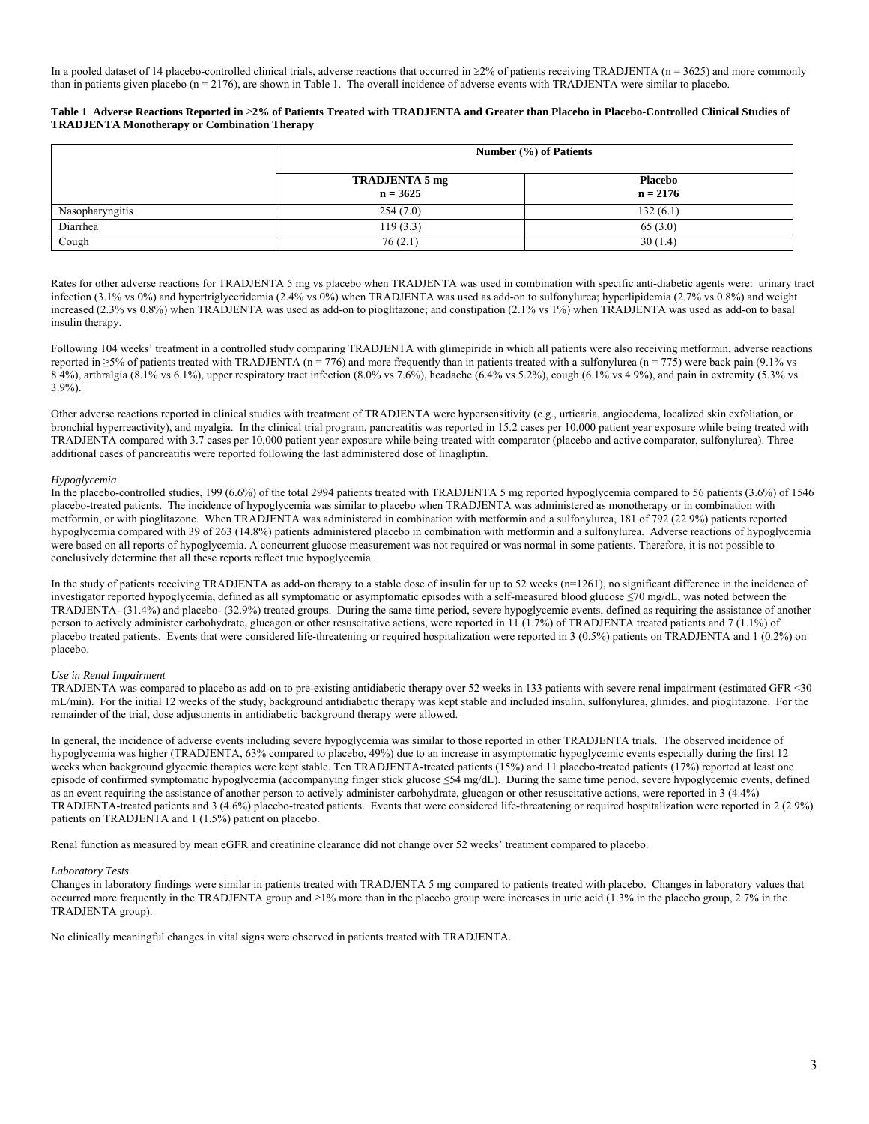In a pooled dataset of 14 placebo-controlled clinical trials, adverse reactions that occurred in  $\geq 2\%$  of patients receiving TRADJENTA (n = 3625) and more commonly than in patients given placebo (n = 2176), are shown in Table 1. The overall incidence of adverse events with TRADJENTA were similar to placebo.

**Table 1 Adverse Reactions Reported in 2% of Patients Treated with TRADJENTA and Greater than Placebo in Placebo-Controlled Clinical Studies of TRADJENTA Monotherapy or Combination Therapy** 

|                 | Number (%) of Patients              |                       |  |
|-----------------|-------------------------------------|-----------------------|--|
|                 | <b>TRADJENTA 5 mg</b><br>$n = 3625$ | Placebo<br>$n = 2176$ |  |
| Nasopharyngitis | 254(7.0)                            | 132(6.1)              |  |
| Diarrhea        | 119(3.3)                            | 65(3.0)               |  |
| Cough           | 76(2.1)                             | 30(1.4)               |  |

Rates for other adverse reactions for TRADJENTA 5 mg vs placebo when TRADJENTA was used in combination with specific anti-diabetic agents were: urinary tract infection (3.1% vs 0%) and hypertriglyceridemia (2.4% vs 0%) when TRADJENTA was used as add-on to sulfonylurea; hyperlipidemia (2.7% vs 0.8%) and weight increased (2.3% vs 0.8%) when TRADJENTA was used as add-on to pioglitazone; and constipation (2.1% vs 1%) when TRADJENTA was used as add-on to basal insulin therapy.

Following 104 weeks' treatment in a controlled study comparing TRADJENTA with glimepiride in which all patients were also receiving metformin, adverse reactions reported in ≥5% of patients treated with TRADJENTA (n = 776) and more frequently than in patients treated with a sulfonylurea (n = 775) were back pain (9.1% vs 8.4%), arthralgia (8.1% vs 6.1%), upper respiratory tract infection (8.0% vs 7.6%), headache (6.4% vs 5.2%), cough (6.1% vs 4.9%), and pain in extremity (5.3% vs 3.9%).

Other adverse reactions reported in clinical studies with treatment of TRADJENTA were hypersensitivity (e.g., urticaria, angioedema, localized skin exfoliation, or bronchial hyperreactivity), and myalgia. In the clinical trial program, pancreatitis was reported in 15.2 cases per 10,000 patient year exposure while being treated with TRADJENTA compared with 3.7 cases per 10,000 patient year exposure while being treated with comparator (placebo and active comparator, sulfonylurea). Three additional cases of pancreatitis were reported following the last administered dose of linagliptin.

## *Hypoglycemia*

In the placebo-controlled studies, 199 (6.6%) of the total 2994 patients treated with TRADJENTA 5 mg reported hypoglycemia compared to 56 patients (3.6%) of 1546 placebo-treated patients. The incidence of hypoglycemia was similar to placebo when TRADJENTA was administered as monotherapy or in combination with metformin, or with pioglitazone. When TRADJENTA was administered in combination with metformin and a sulfonylurea, 181 of 792 (22.9%) patients reported hypoglycemia compared with 39 of 263 (14.8%) patients administered placebo in combination with metformin and a sulfonylurea. Adverse reactions of hypoglycemia were based on all reports of hypoglycemia. A concurrent glucose measurement was not required or was normal in some patients. Therefore, it is not possible to conclusively determine that all these reports reflect true hypoglycemia.

In the study of patients receiving TRADJENTA as add-on therapy to a stable dose of insulin for up to 52 weeks (n=1261), no significant difference in the incidence of investigator reported hypoglycemia, defined as all symptomatic or asymptomatic episodes with a self-measured blood glucose ≤70 mg/dL, was noted between the TRADJENTA- (31.4%) and placebo- (32.9%) treated groups. During the same time period, severe hypoglycemic events, defined as requiring the assistance of another person to actively administer carbohydrate, glucagon or other resuscitative actions, were reported in  $11$  (1.7%) of TRADJENTA treated patients and 7 (1.1%) of placebo treated patients. Events that were considered life-threatening or required hospitalization were reported in 3 (0.5%) patients on TRADJENTA and 1 (0.2%) on placebo.

## *Use in Renal Impairment*

TRADJENTA was compared to placebo as add-on to pre-existing antidiabetic therapy over 52 weeks in 133 patients with severe renal impairment (estimated GFR <30 mL/min). For the initial 12 weeks of the study, background antidiabetic therapy was kept stable and included insulin, sulfonylurea, glinides, and pioglitazone. For the remainder of the trial, dose adjustments in antidiabetic background therapy were allowed.

In general, the incidence of adverse events including severe hypoglycemia was similar to those reported in other TRADJENTA trials. The observed incidence of hypoglycemia was higher (TRADJENTA, 63% compared to placebo, 49%) due to an increase in asymptomatic hypoglycemic events especially during the first 12 weeks when background glycemic therapies were kept stable. Ten TRADJENTA-treated patients (15%) and 11 placebo-treated patients (17%) reported at least one episode of confirmed symptomatic hypoglycemia (accompanying finger stick glucose ≤54 mg/dL). During the same time period, severe hypoglycemic events, defined as an event requiring the assistance of another person to actively administer carbohydrate, glucagon or other resuscitative actions, were reported in 3 (4.4%) TRADJENTA-treated patients and 3 (4.6%) placebo-treated patients. Events that were considered life-threatening or required hospitalization were reported in 2 (2.9%) patients on TRADJENTA and 1 (1.5%) patient on placebo.

Renal function as measured by mean eGFR and creatinine clearance did not change over 52 weeks' treatment compared to placebo.

## *Laboratory Tests*

Changes in laboratory findings were similar in patients treated with TRADJENTA 5 mg compared to patients treated with placebo. Changes in laboratory values that occurred more frequently in the TRADJENTA group and  $\geq 1\%$  more than in the placebo group were increases in uric acid (1.3% in the placebo group, 2.7% in the TRADJENTA group).

No clinically meaningful changes in vital signs were observed in patients treated with TRADJENTA.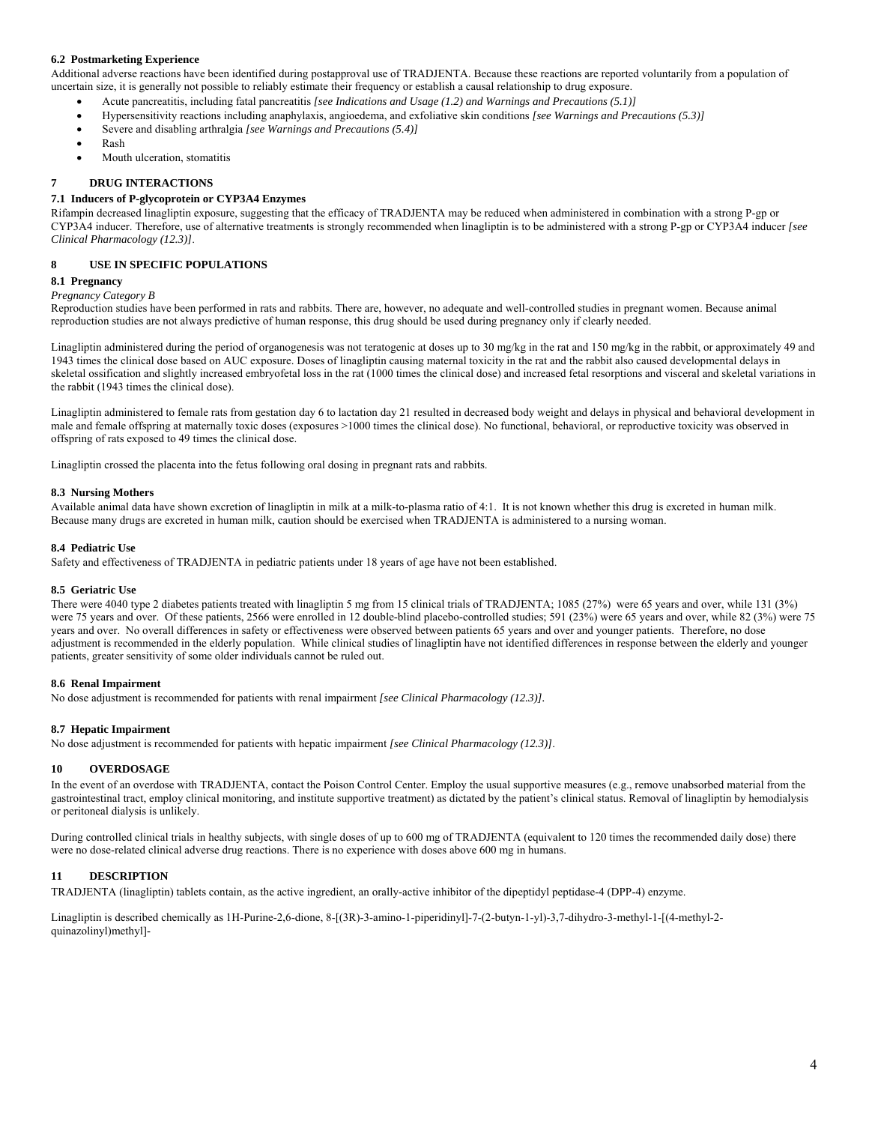## **6.2 Postmarketing Experience**

Additional adverse reactions have been identified during postapproval use of TRADJENTA. Because these reactions are reported voluntarily from a population of uncertain size, it is generally not possible to reliably estimate their frequency or establish a causal relationship to drug exposure.

- Acute pancreatitis, including fatal pancreatitis *[see Indications and Usage (1.2) and Warnings and Precautions (5.1)]*
- Hypersensitivity reactions including anaphylaxis, angioedema, and exfoliative skin conditions *[see Warnings and Precautions (5.3)]*
- Severe and disabling arthralgia *[see Warnings and Precautions (5.4)]*
- Rash
- Mouth ulceration, stomatitis

## **7 DRUG INTERACTIONS**

## **7.1 Inducers of P-glycoprotein or CYP3A4 Enzymes**

Rifampin decreased linagliptin exposure, suggesting that the efficacy of TRADJENTA may be reduced when administered in combination with a strong P-gp or CYP3A4 inducer. Therefore, use of alternative treatments is strongly recommended when linagliptin is to be administered with a strong P-gp or CYP3A4 inducer *[see Clinical Pharmacology (12.3)]*.

## **8 USE IN SPECIFIC POPULATIONS**

#### **8.1 Pregnancy**

## *Pregnancy Category B*

Reproduction studies have been performed in rats and rabbits. There are, however, no adequate and well-controlled studies in pregnant women. Because animal reproduction studies are not always predictive of human response, this drug should be used during pregnancy only if clearly needed.

Linagliptin administered during the period of organogenesis was not teratogenic at doses up to 30 mg/kg in the rat and 150 mg/kg in the rabbit, or approximately 49 and 1943 times the clinical dose based on AUC exposure. Doses of linagliptin causing maternal toxicity in the rat and the rabbit also caused developmental delays in skeletal ossification and slightly increased embryofetal loss in the rat (1000 times the clinical dose) and increased fetal resorptions and visceral and skeletal variations in the rabbit (1943 times the clinical dose).

Linagliptin administered to female rats from gestation day 6 to lactation day 21 resulted in decreased body weight and delays in physical and behavioral development in male and female offspring at maternally toxic doses (exposures >1000 times the clinical dose). No functional, behavioral, or reproductive toxicity was observed in offspring of rats exposed to 49 times the clinical dose.

Linagliptin crossed the placenta into the fetus following oral dosing in pregnant rats and rabbits.

## **8.3 Nursing Mothers**

Available animal data have shown excretion of linagliptin in milk at a milk-to-plasma ratio of 4:1. It is not known whether this drug is excreted in human milk. Because many drugs are excreted in human milk, caution should be exercised when TRADJENTA is administered to a nursing woman.

## **8.4 Pediatric Use**

Safety and effectiveness of TRADJENTA in pediatric patients under 18 years of age have not been established.

## **8.5 Geriatric Use**

There were 4040 type 2 diabetes patients treated with linagliptin 5 mg from 15 clinical trials of TRADJENTA; 1085 (27%) were 65 years and over, while 131 (3%) were 75 years and over. Of these patients, 2566 were enrolled in 12 double-blind placebo-controlled studies; 591 (23%) were 65 years and over, while 82 (3%) were 75 years and over. No overall differences in safety or effectiveness were observed between patients 65 years and over and younger patients. Therefore, no dose adjustment is recommended in the elderly population. While clinical studies of linagliptin have not identified differences in response between the elderly and younger patients, greater sensitivity of some older individuals cannot be ruled out.

#### **8.6 Renal Impairment**

No dose adjustment is recommended for patients with renal impairment *[see Clinical Pharmacology (12.3)].*

#### **8.7 Hepatic Impairment**

No dose adjustment is recommended for patients with hepatic impairment *[see Clinical Pharmacology (12.3)]*.

#### **10 OVERDOSAGE**

In the event of an overdose with TRADJENTA, contact the Poison Control Center. Employ the usual supportive measures (e.g., remove unabsorbed material from the gastrointestinal tract, employ clinical monitoring, and institute supportive treatment) as dictated by the patient's clinical status. Removal of linagliptin by hemodialysis or peritoneal dialysis is unlikely.

During controlled clinical trials in healthy subjects, with single doses of up to 600 mg of TRADJENTA (equivalent to 120 times the recommended daily dose) there were no dose-related clinical adverse drug reactions. There is no experience with doses above 600 mg in humans.

## **11 DESCRIPTION**

TRADJENTA (linagliptin) tablets contain, as the active ingredient, an orally-active inhibitor of the dipeptidyl peptidase-4 (DPP-4) enzyme.

Linagliptin is described chemically as 1H-Purine-2,6-dione, 8-[(3R)-3-amino-1-piperidinyl]-7-(2-butyn-1-yl)-3,7-dihydro-3-methyl-1-[(4-methyl-2 quinazolinyl)methyl]-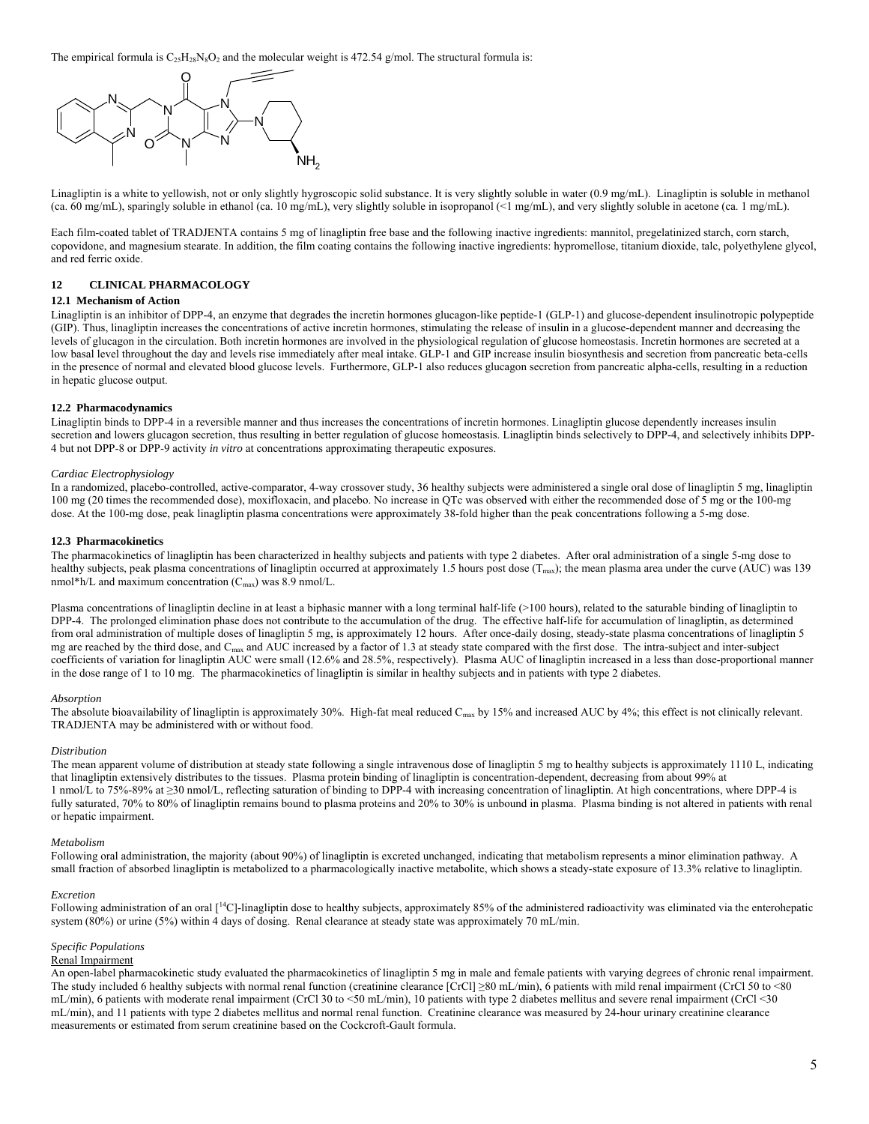The empirical formula is  $C_{25}H_{28}N_8O_2$  and the molecular weight is 472.54 g/mol. The structural formula is:



Linagliptin is a white to yellowish, not or only slightly hygroscopic solid substance. It is very slightly soluble in water (0.9 mg/mL). Linagliptin is soluble in methanol (ca. 60 mg/mL), sparingly soluble in ethanol (ca. 10 mg/mL), very slightly soluble in isopropanol (<1 mg/mL), and very slightly soluble in acetone (ca. 1 mg/mL).

Each film-coated tablet of TRADJENTA contains 5 mg of linagliptin free base and the following inactive ingredients: mannitol, pregelatinized starch, corn starch, copovidone, and magnesium stearate. In addition, the film coating contains the following inactive ingredients: hypromellose, titanium dioxide, talc, polyethylene glycol, and red ferric oxide.

## **12 CLINICAL PHARMACOLOGY**

### **12.1 Mechanism of Action**

Linagliptin is an inhibitor of DPP-4, an enzyme that degrades the incretin hormones glucagon-like peptide-1 (GLP-1) and glucose-dependent insulinotropic polypeptide (GIP). Thus, linagliptin increases the concentrations of active incretin hormones, stimulating the release of insulin in a glucose-dependent manner and decreasing the levels of glucagon in the circulation. Both incretin hormones are involved in the physiological regulation of glucose homeostasis. Incretin hormones are secreted at a low basal level throughout the day and levels rise immediately after meal intake. GLP-1 and GIP increase insulin biosynthesis and secretion from pancreatic beta-cells in the presence of normal and elevated blood glucose levels. Furthermore, GLP-1 also reduces glucagon secretion from pancreatic alpha-cells, resulting in a reduction in hepatic glucose output.

## **12.2 Pharmacodynamics**

Linagliptin binds to DPP-4 in a reversible manner and thus increases the concentrations of incretin hormones. Linagliptin glucose dependently increases insulin secretion and lowers glucagon secretion, thus resulting in better regulation of glucose homeostasis. Linagliptin binds selectively to DPP-4, and selectively inhibits DPP-4 but not DPP-8 or DPP-9 activity *in vitro* at concentrations approximating therapeutic exposures.

## *Cardiac Electrophysiology*

In a randomized, placebo-controlled, active-comparator, 4-way crossover study, 36 healthy subjects were administered a single oral dose of linagliptin 5 mg, linagliptin 100 mg (20 times the recommended dose), moxifloxacin, and placebo. No increase in QTc was observed with either the recommended dose of 5 mg or the 100-mg dose. At the 100-mg dose, peak linagliptin plasma concentrations were approximately 38-fold higher than the peak concentrations following a 5-mg dose.

#### **12.3 Pharmacokinetics**

The pharmacokinetics of linagliptin has been characterized in healthy subjects and patients with type 2 diabetes. After oral administration of a single 5-mg dose to healthy subjects, peak plasma concentrations of linagliptin occurred at approximately 1.5 hours post dose  $(T_{max})$ ; the mean plasma area under the curve (AUC) was 139 nmol\*h/L and maximum concentration  $(C_{\text{max}})$  was 8.9 nmol/L.

Plasma concentrations of linagliptin decline in at least a biphasic manner with a long terminal half-life (>100 hours), related to the saturable binding of linagliptin to DPP-4. The prolonged elimination phase does not contribute to the accumulation of the drug. The effective half-life for accumulation of linagliptin, as determined from oral administration of multiple doses of linagliptin 5 mg, is approximately 12 hours. After once-daily dosing, steady-state plasma concentrations of linagliptin 5 mg are reached by the third dose, and  $C_{\text{max}}$  and AUC increased by a factor of 1.3 at steady state compared with the first dose. The intra-subject and inter-subject coefficients of variation for linagliptin AUC were small (12.6% and 28.5%, respectively). Plasma AUC of linagliptin increased in a less than dose-proportional manner in the dose range of 1 to 10 mg. The pharmacokinetics of linagliptin is similar in healthy subjects and in patients with type 2 diabetes.

#### *Absorption*

The absolute bioavailability of linagliptin is approximately 30%. High-fat meal reduced C<sub>max</sub> by 15% and increased AUC by 4%; this effect is not clinically relevant. TRADJENTA may be administered with or without food.

#### *Distribution*

The mean apparent volume of distribution at steady state following a single intravenous dose of linagliptin 5 mg to healthy subjects is approximately 1110 L, indicating that linagliptin extensively distributes to the tissues. Plasma protein binding of linagliptin is concentration-dependent, decreasing from about 99% at 1 nmol/L to 75%-89% at ≥30 nmol/L, reflecting saturation of binding to DPP-4 with increasing concentration of linagliptin. At high concentrations, where DPP-4 is fully saturated, 70% to 80% of linagliptin remains bound to plasma proteins and 20% to 30% is unbound in plasma. Plasma binding is not altered in patients with renal or hepatic impairment.

#### *Metabolism*

Following oral administration, the majority (about 90%) of linagliptin is excreted unchanged, indicating that metabolism represents a minor elimination pathway. A small fraction of absorbed linagliptin is metabolized to a pharmacologically inactive metabolite, which shows a steady-state exposure of 13.3% relative to linagliptin.

#### *Excretion*

Following administration of an oral  $\lceil {^{14}C} \rceil$ -linagliptin dose to healthy subjects, approximately 85% of the administered radioactivity was eliminated via the enterohepatic system (80%) or urine (5%) within 4 days of dosing. Renal clearance at steady state was approximately 70 mL/min.

#### *Specific Populations*

#### Renal Impairment

An open-label pharmacokinetic study evaluated the pharmacokinetics of linagliptin 5 mg in male and female patients with varying degrees of chronic renal impairment. The study included 6 healthy subjects with normal renal function (creatinine clearance [CrCl] ≥80 mL/min), 6 patients with mild renal impairment (CrCl 50 to <80 mL/min), 6 patients with moderate renal impairment (CrCl 30 to <50 mL/min), 10 patients with type 2 diabetes mellitus and severe renal impairment (CrCl <30 mL/min), and 11 patients with type 2 diabetes mellitus and normal renal function. Creatinine clearance was measured by 24-hour urinary creatinine clearance measurements or estimated from serum creatinine based on the Cockcroft-Gault formula.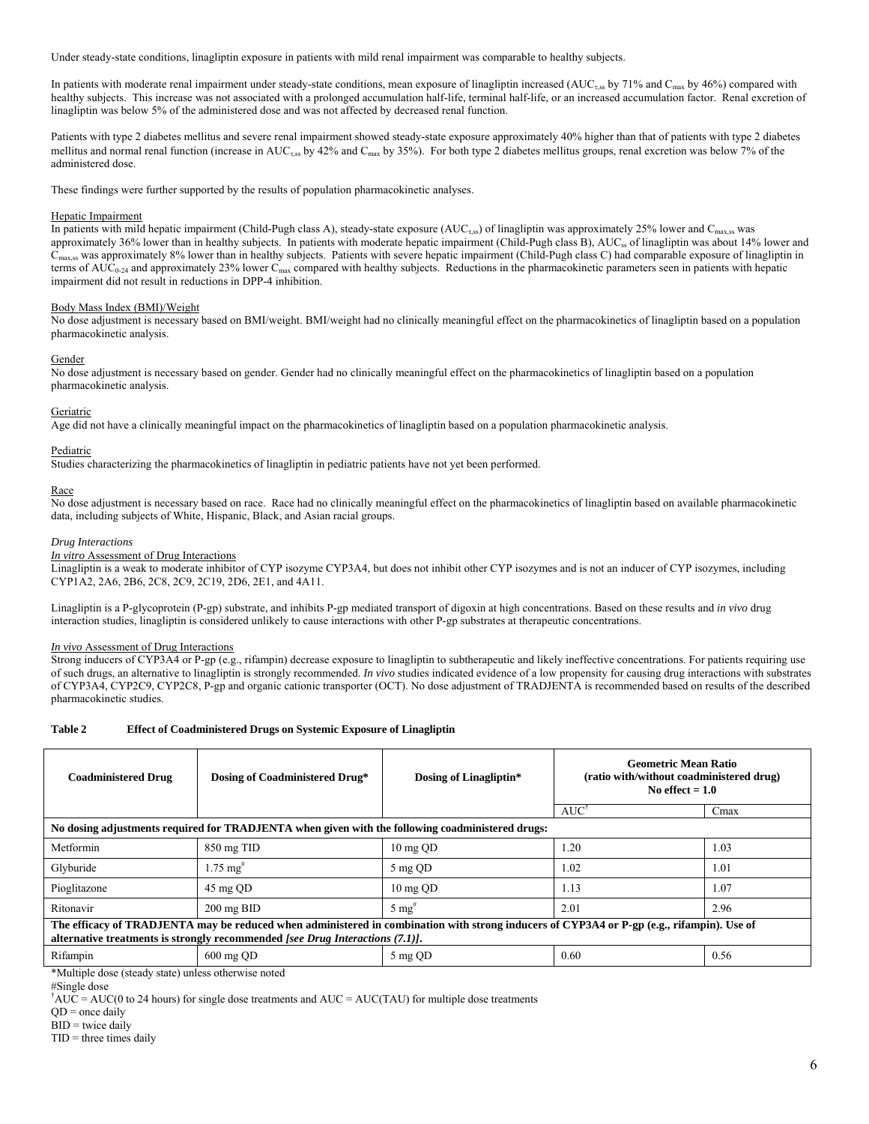Under steady-state conditions, linagliptin exposure in patients with mild renal impairment was comparable to healthy subjects.

In patients with moderate renal impairment under steady-state conditions, mean exposure of linagliptin increased (AUC<sub>t,ss</sub> by 71% and C<sub>max</sub> by 46%) compared with healthy subjects. This increase was not associated with a prolonged accumulation half-life, terminal half-life, or an increased accumulation factor. Renal excretion of linagliptin was below 5% of the administered dose and was not affected by decreased renal function.

Patients with type 2 diabetes mellitus and severe renal impairment showed steady-state exposure approximately 40% higher than that of patients with type 2 diabetes mellitus and normal renal function (increase in AUC<sub>rss</sub> by 42% and C<sub>max</sub> by 35%). For both type 2 diabetes mellitus groups, renal excretion was below 7% of the administered dose.

These findings were further supported by the results of population pharmacokinetic analyses.

## Hepatic Impairment

In patients with mild hepatic impairment (Child-Pugh class A), steady-state exposure (AUC<sub>t,ss</sub>) of linagliptin was approximately 25% lower and C<sub>max,ss</sub> was approximately 36% lower than in healthy subjects. In patients with moderate hepatic impairment (Child-Pugh class B), AUCss of linagliptin was about 14% lower and Cmax,ss was approximately 8% lower than in healthy subjects. Patients with severe hepatic impairment (Child-Pugh class C) had comparable exposure of linagliptin in terms of  $AUC_{0.24}$  and approximately 23% lower C<sub>max</sub> compared with healthy subjects. Reductions in the pharmacokinetic parameters seen in patients with hepatic impairment did not result in reductions in DPP-4 inhibition.

## Body Mass Index (BMI)/Weight

No dose adjustment is necessary based on BMI/weight. BMI/weight had no clinically meaningful effect on the pharmacokinetics of linagliptin based on a population pharmacokinetic analysis.

## Gender

No dose adjustment is necessary based on gender. Gender had no clinically meaningful effect on the pharmacokinetics of linagliptin based on a population pharmacokinetic analysis.

## Geriatric

Age did not have a clinically meaningful impact on the pharmacokinetics of linagliptin based on a population pharmacokinetic analysis.

## Pediatric

Studies characterizing the pharmacokinetics of linagliptin in pediatric patients have not yet been performed.

## Race

No dose adjustment is necessary based on race. Race had no clinically meaningful effect on the pharmacokinetics of linagliptin based on available pharmacokinetic data, including subjects of White, Hispanic, Black, and Asian racial groups.

## *Drug Interactions*

## *In vitro* Assessment of Drug Interactions

Linagliptin is a weak to moderate inhibitor of CYP isozyme CYP3A4, but does not inhibit other CYP isozymes and is not an inducer of CYP isozymes, including CYP1A2, 2A6, 2B6, 2C8, 2C9, 2C19, 2D6, 2E1, and 4A11.

Linagliptin is a P-glycoprotein (P-gp) substrate, and inhibits P-gp mediated transport of digoxin at high concentrations. Based on these results and *in vivo* drug interaction studies, linagliptin is considered unlikely to cause interactions with other P-gp substrates at therapeutic concentrations.

## *In vivo* Assessment of Drug Interactions

Strong inducers of CYP3A4 or P-gp (e.g., rifampin) decrease exposure to linagliptin to subtherapeutic and likely ineffective concentrations. For patients requiring use of such drugs, an alternative to linagliptin is strongly recommended. *In vivo* studies indicated evidence of a low propensity for causing drug interactions with substrates of CYP3A4, CYP2C9, CYP2C8, P-gp and organic cationic transporter (OCT). No dose adjustment of TRADJENTA is recommended based on results of the described pharmacokinetic studies.

| <b>Table 2</b> | <b>Effect of Coadministered Drugs on Systemic Exposure of Linagliptin</b> |  |  |
|----------------|---------------------------------------------------------------------------|--|--|
|----------------|---------------------------------------------------------------------------|--|--|

| <b>Coadministered Drug</b>                                                                                                                                                                                                 | Dosing of Coadministered Drug* | Dosing of Linagliptin* | <b>Geometric Mean Ratio</b><br>(ratio with/without coadministered drug)<br>No effect $= 1.0$ |      |  |  |
|----------------------------------------------------------------------------------------------------------------------------------------------------------------------------------------------------------------------------|--------------------------------|------------------------|----------------------------------------------------------------------------------------------|------|--|--|
|                                                                                                                                                                                                                            |                                |                        | $AUC^{\dagger}$                                                                              | Cmax |  |  |
| No dosing adjustments required for TRADJENTA when given with the following coadministered drugs:                                                                                                                           |                                |                        |                                                                                              |      |  |  |
| Metformin                                                                                                                                                                                                                  | 850 mg TID                     | $10 \text{ mg QD}$     | 1.20                                                                                         | 1.03 |  |  |
| Glyburide                                                                                                                                                                                                                  | $1.75 \text{ mg}^*$            | 5 mg QD                | 1.02                                                                                         | 1.01 |  |  |
| Pioglitazone                                                                                                                                                                                                               | 45 mg QD                       | $10 \text{ mg QD}$     | 1.13                                                                                         | 1.07 |  |  |
| Ritonavir                                                                                                                                                                                                                  | $200$ mg $BID$                 | $5 \text{ mg}^{\#}$    | 2.01                                                                                         | 2.96 |  |  |
| The efficacy of TRADJENTA may be reduced when administered in combination with strong inducers of CYP3A4 or P-gp (e.g., rifampin). Use of<br>alternative treatments is strongly recommended [see Drug Interactions (7.1)]. |                                |                        |                                                                                              |      |  |  |
| Rifampin                                                                                                                                                                                                                   | $600 \text{ mg OD}$            | 5 mg QD                | 0.60                                                                                         | 0.56 |  |  |
| *Multiple does (steady state) unless otherwise nated                                                                                                                                                                       |                                |                        |                                                                                              |      |  |  |

\*Multiple dose (steady state) unless otherwise noted

#Single dose

 $\rm \dot{A} AUC = AUC(0 to 24 hours)$  for single dose treatments and  $AUC = AUC(TAU)$  for multiple dose treatments

 $OD =$  once daily

 $BID =$  twice daily

 $TID =$  three times daily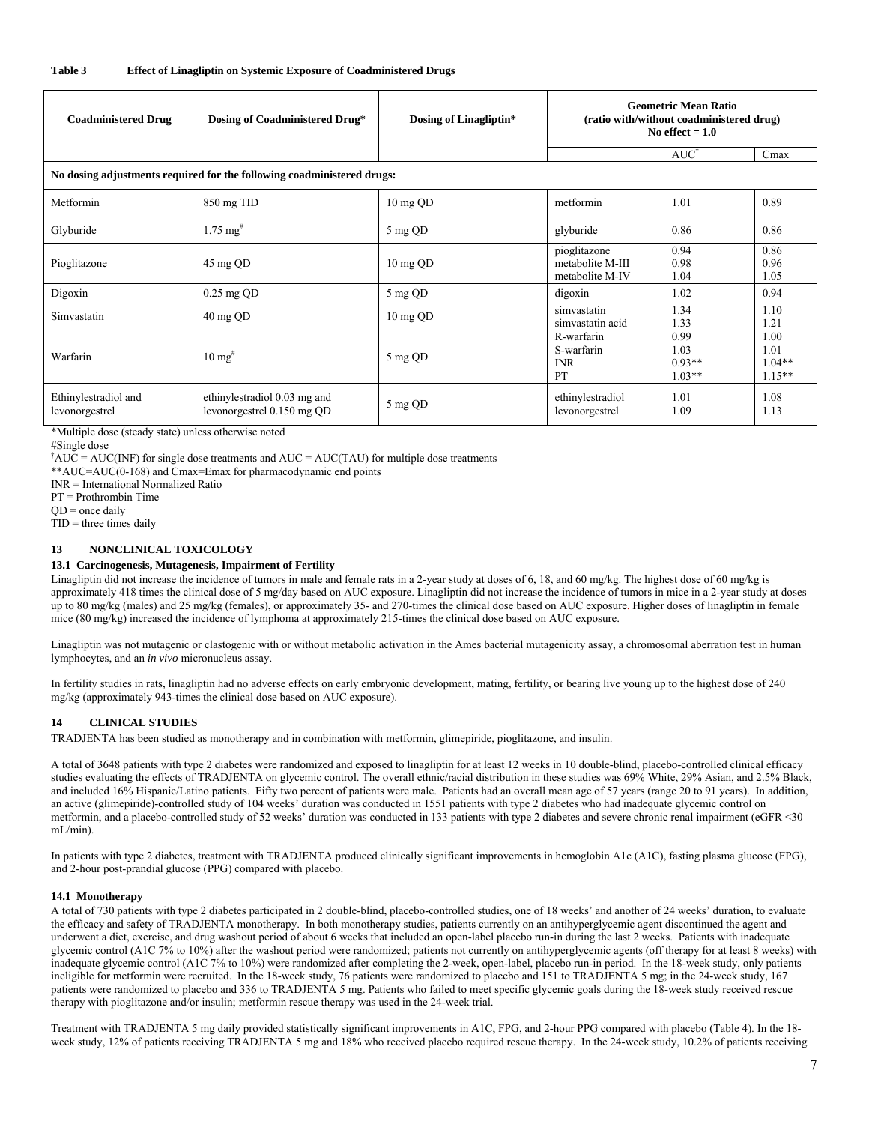| <b>Coadministered Drug</b>             | Dosing of Coadministered Drug*                                         | Dosing of Linagliptin* |                                                     | <b>Geometric Mean Ratio</b><br>(ratio with/without coadministered drug)<br>No effect $= 1.0$ |                                      |
|----------------------------------------|------------------------------------------------------------------------|------------------------|-----------------------------------------------------|----------------------------------------------------------------------------------------------|--------------------------------------|
|                                        |                                                                        |                        |                                                     | $AUC^{\dagger}$                                                                              | Cmax                                 |
|                                        | No dosing adjustments required for the following coadministered drugs: |                        |                                                     |                                                                                              |                                      |
| Metformin                              | 850 mg TID                                                             | $10 \text{ mg QD}$     | metformin                                           | 1.01                                                                                         | 0.89                                 |
| Glyburide                              | $1.75 \text{ mg}^*$                                                    | 5 mg QD                | glyburide                                           | 0.86                                                                                         | 0.86                                 |
| Pioglitazone                           | 45 mg QD                                                               | 10 mg QD               | pioglitazone<br>metabolite M-III<br>metabolite M-IV | 0.94<br>0.98<br>1.04                                                                         | 0.86<br>0.96<br>1.05                 |
| Digoxin                                | $0.25$ mg QD                                                           | 5 mg QD                | digoxin                                             | 1.02                                                                                         | 0.94                                 |
| Simvastatin                            | 40 mg QD                                                               | $10 \text{ mg QD}$     | simvastatin<br>simvastatin acid                     | 1.34<br>1.33                                                                                 | 1.10<br>1.21                         |
| Warfarin                               | $10 \text{ mg}^{\#}$                                                   | 5 mg QD                | R-warfarin<br>S-warfarin<br><b>INR</b><br>PT        | 0.99<br>1.03<br>$0.93**$<br>$1.03**$                                                         | 1.00<br>1.01<br>$1.04**$<br>$1.15**$ |
| Ethinylestradiol and<br>levonorgestrel | ethinylestradiol 0.03 mg and<br>levonorgestrel 0.150 mg QD             | 5 mg QD                | ethinylestradiol<br>levonorgestrel                  | 1.01<br>1.09                                                                                 | 1.08<br>1.13                         |

\*Multiple dose (steady state) unless otherwise noted

#Single dose

 $^{\dagger}$ AUC = AUC(INF) for single dose treatments and AUC = AUC(TAU) for multiple dose treatments

\*\*AUC=AUC(0-168) and Cmax=Emax for pharmacodynamic end points

INR = International Normalized Ratio

PT = Prothrombin Time

 $OD =$  once daily

 $TID =$  three times daily

## **13 NONCLINICAL TOXICOLOGY**

## **13.1 Carcinogenesis, Mutagenesis, Impairment of Fertility**

Linagliptin did not increase the incidence of tumors in male and female rats in a 2-year study at doses of 6, 18, and 60 mg/kg. The highest dose of 60 mg/kg is approximately 418 times the clinical dose of 5 mg/day based on AUC exposure. Linagliptin did not increase the incidence of tumors in mice in a 2-year study at doses up to 80 mg/kg (males) and 25 mg/kg (females), or approximately 35- and 270-times the clinical dose based on AUC exposure. Higher doses of linagliptin in female mice (80 mg/kg) increased the incidence of lymphoma at approximately 215-times the clinical dose based on AUC exposure.

Linagliptin was not mutagenic or clastogenic with or without metabolic activation in the Ames bacterial mutagenicity assay, a chromosomal aberration test in human lymphocytes, and an *in vivo* micronucleus assay.

In fertility studies in rats, linagliptin had no adverse effects on early embryonic development, mating, fertility, or bearing live young up to the highest dose of 240 mg/kg (approximately 943-times the clinical dose based on AUC exposure).

## **14 CLINICAL STUDIES**

TRADJENTA has been studied as monotherapy and in combination with metformin, glimepiride, pioglitazone, and insulin.

A total of 3648 patients with type 2 diabetes were randomized and exposed to linagliptin for at least 12 weeks in 10 double-blind, placebo-controlled clinical efficacy studies evaluating the effects of TRADJENTA on glycemic control. The overall ethnic/racial distribution in these studies was 69% White, 29% Asian, and 2.5% Black, and included 16% Hispanic/Latino patients. Fifty two percent of patients were male. Patients had an overall mean age of 57 years (range 20 to 91 years). In addition, an active (glimepiride)-controlled study of 104 weeks' duration was conducted in 1551 patients with type 2 diabetes who had inadequate glycemic control on metformin, and a placebo-controlled study of 52 weeks' duration was conducted in 133 patients with type 2 diabetes and severe chronic renal impairment (eGFR <30 mL/min).

In patients with type 2 diabetes, treatment with TRADJENTA produced clinically significant improvements in hemoglobin A1c (A1C), fasting plasma glucose (FPG), and 2-hour post-prandial glucose (PPG) compared with placebo.

## **14.1 Monotherapy**

A total of 730 patients with type 2 diabetes participated in 2 double-blind, placebo-controlled studies, one of 18 weeks' and another of 24 weeks' duration, to evaluate the efficacy and safety of TRADJENTA monotherapy. In both monotherapy studies, patients currently on an antihyperglycemic agent discontinued the agent and underwent a diet, exercise, and drug washout period of about 6 weeks that included an open-label placebo run-in during the last 2 weeks. Patients with inadequate glycemic control (A1C 7% to 10%) after the washout period were randomized; patients not currently on antihyperglycemic agents (off therapy for at least 8 weeks) with inadequate glycemic control (A1C 7% to 10%) were randomized after completing the 2-week, open-label, placebo run-in period. In the 18-week study, only patients ineligible for metformin were recruited. In the 18-week study, 76 patients were randomized to placebo and 151 to TRADJENTA 5 mg; in the 24-week study, 167 patients were randomized to placebo and 336 to TRADJENTA 5 mg. Patients who failed to meet specific glycemic goals during the 18-week study received rescue therapy with pioglitazone and/or insulin; metformin rescue therapy was used in the 24-week trial.

Treatment with TRADJENTA 5 mg daily provided statistically significant improvements in A1C, FPG, and 2-hour PPG compared with placebo (Table 4). In the 18 week study, 12% of patients receiving TRADJENTA 5 mg and 18% who received placebo required rescue therapy. In the 24-week study, 10.2% of patients receiving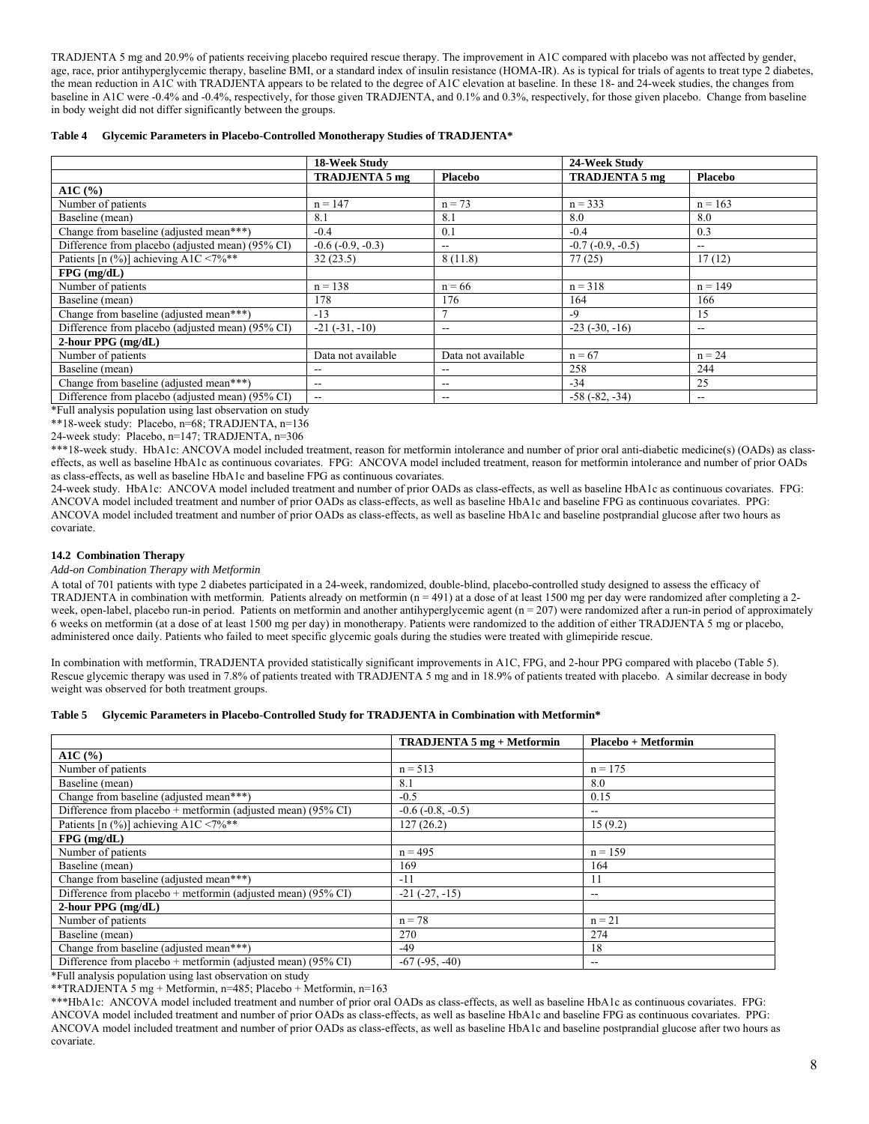TRADJENTA 5 mg and 20.9% of patients receiving placebo required rescue therapy. The improvement in A1C compared with placebo was not affected by gender, age, race, prior antihyperglycemic therapy, baseline BMI, or a standard index of insulin resistance (HOMA-IR). As is typical for trials of agents to treat type 2 diabetes, the mean reduction in A1C with TRADJENTA appears to be related to the degree of A1C elevation at baseline. In these 18- and 24-week studies, the changes from baseline in A1C were -0.4% and -0.4%, respectively, for those given TRADJENTA, and 0.1% and 0.3%, respectively, for those given placebo. Change from baseline in body weight did not differ significantly between the groups.

|  | Table 4 Glycemic Parameters in Placebo-Controlled Monotherapy Studies of TRADJENTA* |  |
|--|-------------------------------------------------------------------------------------|--|
|  |                                                                                     |  |

|                                                  | <b>18-Week Study</b>  |                    | 24-Week Study         |           |
|--------------------------------------------------|-----------------------|--------------------|-----------------------|-----------|
|                                                  | <b>TRADJENTA 5 mg</b> | <b>Placebo</b>     | <b>TRADJENTA 5 mg</b> | Placebo   |
| A1C (%)                                          |                       |                    |                       |           |
| Number of patients                               | $n = 147$             | $n = 73$           | $n = 333$             | $n = 163$ |
| Baseline (mean)                                  | 8.1                   | 8.1                | 8.0                   | 8.0       |
| Change from baseline (adjusted mean***)          | $-0.4$                | 0.1                | $-0.4$                | 0.3       |
| Difference from placebo (adjusted mean) (95% CI) | $-0.6$ $(-0.9, -0.3)$ | $-$                | $-0.7$ $(-0.9, -0.5)$ | $- -$     |
| Patients [n $(^{0}_{0})$ ] achieving A1C <7%**   | 32(23.5)              | 8(11.8)            | 77(25)                | 17(12)    |
| $FPG$ (mg/dL)                                    |                       |                    |                       |           |
| Number of patients                               | $n = 138$             | $n = 66$           | $n = 318$             | $n = 149$ |
| Baseline (mean)                                  | 178                   | 176                | 164                   | 166       |
| Change from baseline (adjusted mean***)          | $-13$                 | 7                  | -9                    | 15        |
| Difference from placebo (adjusted mean) (95% CI) | $-21(-31,-10)$        | $- -$              | $-23(-30,-16)$        | --        |
| $2$ -hour PPG (mg/dL)                            |                       |                    |                       |           |
| Number of patients                               | Data not available    | Data not available | $n = 67$              | $n = 24$  |
| Baseline (mean)                                  |                       | $- -$              | 258                   | 244       |
| Change from baseline (adjusted mean***)          | $- -$                 | $-$                | $-34$                 | 25        |
| Difference from placebo (adjusted mean) (95% CI) | $\hspace{0.05cm}$     | $- -$              | $-58(-82, -34)$       | --        |

\*Full analysis population using last observation on study

\*\*18-week study: Placebo, n=68; TRADJENTA, n=136

24-week study: Placebo, n=147; TRADJENTA, n=306

\*\*\*18-week study. HbA1c: ANCOVA model included treatment, reason for metformin intolerance and number of prior oral anti-diabetic medicine(s) (OADs) as classeffects, as well as baseline HbA1c as continuous covariates. FPG: ANCOVA model included treatment, reason for metformin intolerance and number of prior OADs as class-effects, as well as baseline HbA1c and baseline FPG as continuous covariates.

24-week study. HbA1c: ANCOVA model included treatment and number of prior OADs as class-effects, as well as baseline HbA1c as continuous covariates. FPG: ANCOVA model included treatment and number of prior OADs as class-effects, as well as baseline HbA1c and baseline FPG as continuous covariates. PPG: ANCOVA model included treatment and number of prior OADs as class-effects, as well as baseline HbA1c and baseline postprandial glucose after two hours as covariate.

## **14.2 Combination Therapy**

## *Add-on Combination Therapy with Metformin*

A total of 701 patients with type 2 diabetes participated in a 24-week, randomized, double-blind, placebo-controlled study designed to assess the efficacy of TRADJENTA in combination with metformin. Patients already on metformin (n = 491) at a dose of at least 1500 mg per day were randomized after completing a 2 week, open-label, placebo run-in period. Patients on metformin and another antihyperglycemic agent (n = 207) were randomized after a run-in period of approximately 6 weeks on metformin (at a dose of at least 1500 mg per day) in monotherapy. Patients were randomized to the addition of either TRADJENTA 5 mg or placebo, administered once daily. Patients who failed to meet specific glycemic goals during the studies were treated with glimepiride rescue.

In combination with metformin, TRADJENTA provided statistically significant improvements in A1C, FPG, and 2-hour PPG compared with placebo (Table 5). Rescue glycemic therapy was used in 7.8% of patients treated with TRADJENTA 5 mg and in 18.9% of patients treated with placebo. A similar decrease in body weight was observed for both treatment groups.

|  | Table 5 Glycemic Parameters in Placebo-Controlled Study for TRADJENTA in Combination with Metformin* |
|--|------------------------------------------------------------------------------------------------------|
|  |                                                                                                      |

|                                                                         | <b>TRADJENTA 5 mg + Metformin</b> | Placebo + Metformin      |
|-------------------------------------------------------------------------|-----------------------------------|--------------------------|
| A1C (%)                                                                 |                                   |                          |
| Number of patients                                                      | $n = 513$                         | $n = 175$                |
| Baseline (mean)                                                         | 8.1                               | 8.0                      |
| Change from baseline (adjusted mean***)                                 | $-0.5$                            | 0.15                     |
| Difference from placebo + metformin (adjusted mean) $(95\% \text{ CI})$ | $-0.6$ $(-0.8, -0.5)$             | $\overline{\phantom{a}}$ |
| Patients [n $(\%)$ ] achieving A1C <7%**                                | 127(26.2)                         | 15(9.2)                  |
| $FPG$ (mg/dL)                                                           |                                   |                          |
| Number of patients                                                      | $n = 495$                         | $n = 159$                |
| Baseline (mean)                                                         | 169                               | 164                      |
| Change from baseline (adjusted mean***)                                 | $-11$                             | 11                       |
| Difference from placebo + metformin (adjusted mean) $(95\% \text{ CI})$ | $-21(-27, -15)$                   | --                       |
| $2$ -hour PPG (mg/dL)                                                   |                                   |                          |
| Number of patients                                                      | $n = 78$                          | $n = 21$                 |
| Baseline (mean)                                                         | 270                               | 274                      |
| Change from baseline (adjusted mean***)                                 | $-49$                             | 18                       |
| Difference from placebo + metformin (adjusted mean) $(95\% \text{ CI})$ | $-67(-95, -40)$                   | --                       |

\*Full analysis population using last observation on study

\*\*TRADJENTA 5 mg + Metformin, n=485; Placebo + Metformin, n=163

\*\*\*HbA1c: ANCOVA model included treatment and number of prior oral OADs as class-effects, as well as baseline HbA1c as continuous covariates. FPG: ANCOVA model included treatment and number of prior OADs as class-effects, as well as baseline HbA1c and baseline FPG as continuous covariates. PPG: ANCOVA model included treatment and number of prior OADs as class-effects, as well as baseline HbA1c and baseline postprandial glucose after two hours as covariate.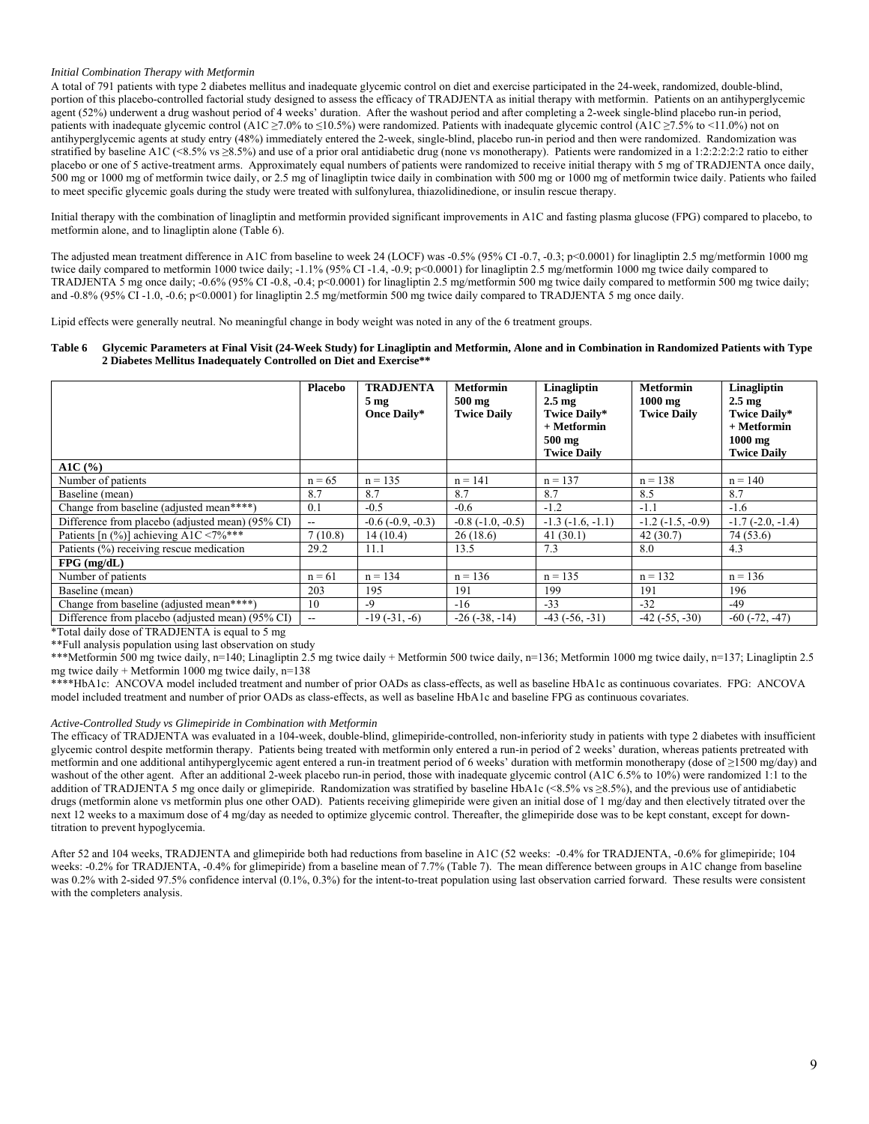## *Initial Combination Therapy with Metformin*

A total of 791 patients with type 2 diabetes mellitus and inadequate glycemic control on diet and exercise participated in the 24-week, randomized, double-blind, portion of this placebo-controlled factorial study designed to assess the efficacy of TRADJENTA as initial therapy with metformin. Patients on an antihyperglycemic agent (52%) underwent a drug washout period of 4 weeks' duration. After the washout period and after completing a 2-week single-blind placebo run-in period, patients with inadequate glycemic control (A1C ≥7.0% to ≤10.5%) were randomized. Patients with inadequate glycemic control (A1C ≥7.5% to <11.0%) not on antihyperglycemic agents at study entry (48%) immediately entered the 2-week, single-blind, placebo run-in period and then were randomized. Randomization was stratified by baseline A1C (<8.5% vs ≥8.5%) and use of a prior oral antidiabetic drug (none vs monotherapy). Patients were randomized in a 1:2:2:2:2:2 ratio to either placebo or one of 5 active-treatment arms. Approximately equal numbers of patients were randomized to receive initial therapy with 5 mg of TRADJENTA once daily, 500 mg or 1000 mg of metformin twice daily, or 2.5 mg of linagliptin twice daily in combination with 500 mg or 1000 mg of metformin twice daily. Patients who failed to meet specific glycemic goals during the study were treated with sulfonylurea, thiazolidinedione, or insulin rescue therapy.

Initial therapy with the combination of linagliptin and metformin provided significant improvements in A1C and fasting plasma glucose (FPG) compared to placebo, to metformin alone, and to linagliptin alone (Table 6).

The adjusted mean treatment difference in A1C from baseline to week 24 (LOCF) was -0.5% (95% CI-0.7, -0.3; p<0.0001) for linagliptin 2.5 mg/metformin 1000 mg twice daily compared to metformin 1000 twice daily; -1.1% (95% CI -1.4, -0.9; p<0.0001) for linagliptin 2.5 mg/metformin 1000 mg twice daily compared to TRADJENTA 5 mg once daily; -0.6% (95% CI -0.8, -0.4; p<0.0001) for linagliptin 2.5 mg/metformin 500 mg twice daily compared to metformin 500 mg twice daily; and -0.8% (95% CI -1.0, -0.6; p<0.0001) for linagliptin 2.5 mg/metformin 500 mg twice daily compared to TRADJENTA 5 mg once daily.

Lipid effects were generally neutral. No meaningful change in body weight was noted in any of the 6 treatment groups.

#### **Table 6 Glycemic Parameters at Final Visit (24-Week Study) for Linagliptin and Metformin, Alone and in Combination in Randomized Patients with Type 2 Diabetes Mellitus Inadequately Controlled on Diet and Exercise\*\***

|                                                                                                                                                                                                                                                                                                                                               | Placebo       | <b>TRADJENTA</b><br>5 <sub>mg</sub><br>Once Daily* | <b>Metformin</b><br>$500 \text{ mg}$<br><b>Twice Daily</b> | Linagliptin<br>$2.5 \text{ mg}$<br><b>Twice Daily*</b><br>$+$ Metformin<br>$500$ mg<br><b>Twice Daily</b> | <b>Metformin</b><br>$1000 \text{ mg}$<br><b>Twice Daily</b> | Linagliptin<br>$2.5 \text{ mg}$<br><b>Twice Daily*</b><br>$+$ Metformin<br>$1000 \text{ mg}$<br><b>Twice Daily</b> |
|-----------------------------------------------------------------------------------------------------------------------------------------------------------------------------------------------------------------------------------------------------------------------------------------------------------------------------------------------|---------------|----------------------------------------------------|------------------------------------------------------------|-----------------------------------------------------------------------------------------------------------|-------------------------------------------------------------|--------------------------------------------------------------------------------------------------------------------|
| A1C (%)                                                                                                                                                                                                                                                                                                                                       |               |                                                    |                                                            |                                                                                                           |                                                             |                                                                                                                    |
| Number of patients                                                                                                                                                                                                                                                                                                                            | $n = 65$      | $n = 135$                                          | $n = 141$                                                  | $n = 137$                                                                                                 | $n = 138$                                                   | $n = 140$                                                                                                          |
| Baseline (mean)                                                                                                                                                                                                                                                                                                                               | 8.7           | 8.7                                                | 8.7                                                        | 8.7                                                                                                       | 8.5                                                         | 8.7                                                                                                                |
| Change from baseline (adjusted mean****)                                                                                                                                                                                                                                                                                                      | 0.1           | $-0.5$                                             | $-0.6$                                                     | $-1.2$                                                                                                    | $-1.1$                                                      | $-1.6$                                                                                                             |
| Difference from placebo (adjusted mean) (95% CI)                                                                                                                                                                                                                                                                                              | $-$           | $-0.6$ $(-0.9, -0.3)$                              | $-0.8$ ( $-1.0, -0.5$ )                                    | $-1.3(-1.6,-1.1)$                                                                                         | $-1.2$ ( $-1.5$ , $-0.9$ )                                  | $-1.7(-2.0, -1.4)$                                                                                                 |
| Patients [n $(\%)$ ] achieving A1C <7%***                                                                                                                                                                                                                                                                                                     | 7(10.8)       | 14(10.4)                                           | 26(18.6)                                                   | 41(30.1)                                                                                                  | 42(30.7)                                                    | 74(53.6)                                                                                                           |
| Patients (%) receiving rescue medication                                                                                                                                                                                                                                                                                                      | 29.2          | 11.1                                               | 13.5                                                       | 7.3                                                                                                       | 8.0                                                         | 4.3                                                                                                                |
| $FPG$ (mg/dL)                                                                                                                                                                                                                                                                                                                                 |               |                                                    |                                                            |                                                                                                           |                                                             |                                                                                                                    |
| Number of patients                                                                                                                                                                                                                                                                                                                            | $n = 61$      | $n = 134$                                          | $n = 136$                                                  | $n = 135$                                                                                                 | $n = 132$                                                   | $n = 136$                                                                                                          |
| Baseline (mean)                                                                                                                                                                                                                                                                                                                               | 203           | 195                                                | 191                                                        | 199                                                                                                       | 191                                                         | 196                                                                                                                |
| Change from baseline (adjusted mean****)                                                                                                                                                                                                                                                                                                      | 10            | $-9$                                               | $-16$                                                      | $-33$                                                                                                     | $-32$                                                       | $-49$                                                                                                              |
| Difference from placebo (adjusted mean) (95% CI)<br>$\frac{1}{2}$ and $\frac{1}{2}$ and $\frac{1}{2}$ are constructed and $\frac{1}{2}$ and $\frac{1}{2}$ and $\frac{1}{2}$ and $\frac{1}{2}$ and $\frac{1}{2}$ and $\frac{1}{2}$ and $\frac{1}{2}$ and $\frac{1}{2}$ and $\frac{1}{2}$ and $\frac{1}{2}$ and $\frac{1}{2}$ and $\frac{1}{2}$ | $\sim$ $\sim$ | $-19(-31,-6)$                                      | $-26(-38,-14)$                                             | $-43(-56,-31)$                                                                                            | $-42(-55, -30)$                                             | $-60$ $(-72, -47)$                                                                                                 |

\*Total daily dose of TRADJENTA is equal to 5 mg

\*\*Full analysis population using last observation on study

\*\*\*Metformin 500 mg twice daily, n=140; Linagliptin 2.5 mg twice daily + Metformin 500 twice daily, n=136; Metformin 1000 mg twice daily, n=137; Linagliptin 2.5 mg twice daily + Metformin 1000 mg twice daily,  $n=138$ 

\*\*\*\*HbA1c: ANCOVA model included treatment and number of prior OADs as class-effects, as well as baseline HbA1c as continuous covariates. FPG: ANCOVA model included treatment and number of prior OADs as class-effects, as well as baseline HbA1c and baseline FPG as continuous covariates.

## *Active-Controlled Study vs Glimepiride in Combination with Metformin*

The efficacy of TRADJENTA was evaluated in a 104-week, double-blind, glimepiride-controlled, non-inferiority study in patients with type 2 diabetes with insufficient glycemic control despite metformin therapy. Patients being treated with metformin only entered a run-in period of 2 weeks' duration, whereas patients pretreated with metformin and one additional antihyperglycemic agent entered a run-in treatment period of 6 weeks' duration with metformin monotherapy (dose of  $\geq 1500$  mg/day) and washout of the other agent. After an additional 2-week placebo run-in period, those with inadequate glycemic control (A1C 6.5% to 10%) were randomized 1:1 to the addition of TRADJENTA 5 mg once daily or glimepiride. Randomization was stratified by baseline HbA1c (<8.5% vs  $\geq$ 8.5%), and the previous use of antidiabetic drugs (metformin alone vs metformin plus one other OAD). Patients receiving glimepiride were given an initial dose of 1 mg/day and then electively titrated over the next 12 weeks to a maximum dose of 4 mg/day as needed to optimize glycemic control. Thereafter, the glimepiride dose was to be kept constant, except for downtitration to prevent hypoglycemia.

After 52 and 104 weeks, TRADJENTA and glimepiride both had reductions from baseline in A1C (52 weeks: -0.4% for TRADJENTA, -0.6% for glimepiride; 104 weeks: -0.2% for TRADJENTA, -0.4% for glimepiride) from a baseline mean of 7.7% (Table 7). The mean difference between groups in A1C change from baseline was 0.2% with 2-sided 97.5% confidence interval (0.1%, 0.3%) for the intent-to-treat population using last observation carried forward. These results were consistent with the completers analysis.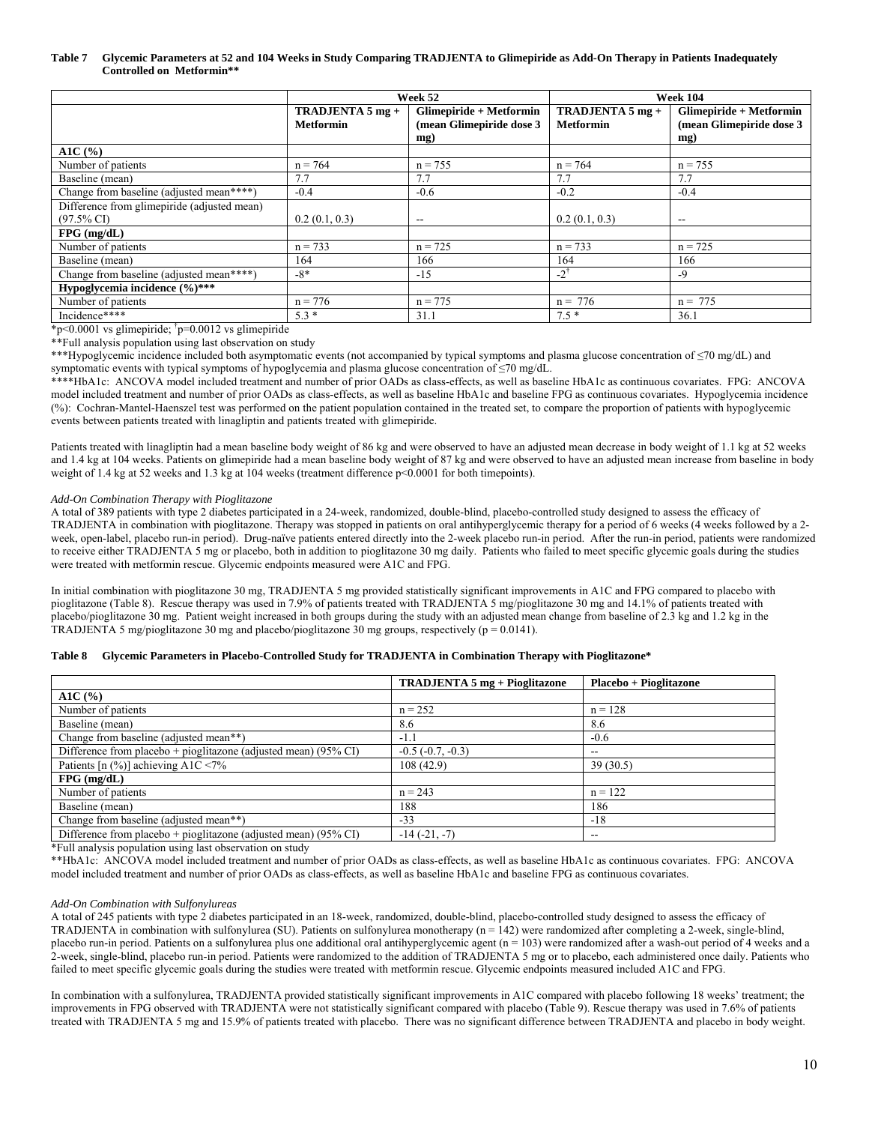## **Table 7 Glycemic Parameters at 52 and 104 Weeks in Study Comparing TRADJENTA to Glimepiride as Add-On Therapy in Patients Inadequately Controlled on Metformin\*\***

|                                                                      | Week 52                              |                                                            |                                      | <b>Week 104</b>                                            |
|----------------------------------------------------------------------|--------------------------------------|------------------------------------------------------------|--------------------------------------|------------------------------------------------------------|
|                                                                      | TRADJENTA 5 mg +<br><b>Metformin</b> | Glimepiride + Metformin<br>(mean Glimepiride dose 3<br>mg) | TRADJENTA 5 mg +<br><b>Metformin</b> | Glimepiride + Metformin<br>(mean Glimepiride dose 3<br>mg) |
| A1C (%)                                                              |                                      |                                                            |                                      |                                                            |
| Number of patients                                                   | $n = 764$                            | $n = 755$                                                  | $n = 764$                            | $n = 755$                                                  |
| Baseline (mean)                                                      | 7.7                                  | 7.7                                                        | 7.7                                  | 7.7                                                        |
| Change from baseline (adjusted mean****)                             | $-0.4$                               | $-0.6$                                                     | $-0.2$                               | $-0.4$                                                     |
| Difference from glimepiride (adjusted mean)<br>$(97.5\% \text{ CI})$ | 0.2(0.1, 0.3)                        | $- -$                                                      | 0.2(0.1, 0.3)                        | $\overline{\phantom{a}}$                                   |
| $FPG$ (mg/dL)                                                        |                                      |                                                            |                                      |                                                            |
| Number of patients                                                   | $n = 733$                            | $n = 725$                                                  | $n = 733$                            | $n = 725$                                                  |
| Baseline (mean)                                                      | 164                                  | 166                                                        | 164                                  | 166                                                        |
| Change from baseline (adjusted mean****)                             | $-8*$                                | $-15$                                                      | $-2^{\dagger}$                       | -9                                                         |
| Hypoglycemia incidence (%)***                                        |                                      |                                                            |                                      |                                                            |
| Number of patients                                                   | $n = 776$                            | $n = 775$                                                  | $n = 776$                            | $n = 775$                                                  |
| Incidence****                                                        | $5.3*$                               | 31.1                                                       | $7.5*$                               | 36.1                                                       |

\*p<0.0001 vs glimepiride;  $\bar{p}=0.0012$  vs glimepiride

\*\*Full analysis population using last observation on study

\*\*\*Hypoglycemic incidence included both asymptomatic events (not accompanied by typical symptoms and plasma glucose concentration of ≤70 mg/dL) and symptomatic events with typical symptoms of hypoglycemia and plasma glucose concentration of ≤70 mg/dL.

\*\*\*\*HbA1c: ANCOVA model included treatment and number of prior OADs as class-effects, as well as baseline HbA1c as continuous covariates. FPG: ANCOVA model included treatment and number of prior OADs as class-effects, as well as baseline HbA1c and baseline FPG as continuous covariates. Hypoglycemia incidence (%): Cochran-Mantel-Haenszel test was performed on the patient population contained in the treated set, to compare the proportion of patients with hypoglycemic events between patients treated with linagliptin and patients treated with glimepiride.

Patients treated with linagliptin had a mean baseline body weight of 86 kg and were observed to have an adjusted mean decrease in body weight of 1.1 kg at 52 weeks and 1.4 kg at 104 weeks. Patients on glimepiride had a mean baseline body weight of 87 kg and were observed to have an adjusted mean increase from baseline in body weight of 1.4 kg at 52 weeks and 1.3 kg at 104 weeks (treatment difference p<0.0001 for both timepoints).

## *Add-On Combination Therapy with Pioglitazone*

A total of 389 patients with type 2 diabetes participated in a 24-week, randomized, double-blind, placebo-controlled study designed to assess the efficacy of TRADJENTA in combination with pioglitazone. Therapy was stopped in patients on oral antihyperglycemic therapy for a period of 6 weeks (4 weeks followed by a 2 week, open-label, placebo run-in period). Drug-naïve patients entered directly into the 2-week placebo run-in period. After the run-in period, patients were randomized to receive either TRADJENTA 5 mg or placebo, both in addition to pioglitazone 30 mg daily. Patients who failed to meet specific glycemic goals during the studies were treated with metformin rescue. Glycemic endpoints measured were A1C and FPG.

In initial combination with pioglitazone 30 mg, TRADJENTA 5 mg provided statistically significant improvements in A1C and FPG compared to placebo with pioglitazone (Table 8). Rescue therapy was used in 7.9% of patients treated with TRADJENTA 5 mg/pioglitazone 30 mg and 14.1% of patients treated with placebo/pioglitazone 30 mg. Patient weight increased in both groups during the study with an adjusted mean change from baseline of 2.3 kg and 1.2 kg in the TRADJENTA 5 mg/pioglitazone 30 mg and placebo/pioglitazone 30 mg groups, respectively ( $p = 0.0141$ ).

|  | Table 8 Glycemic Parameters in Placebo-Controlled Study for TRADJENTA in Combination Therapy with Pioglitazone* |
|--|-----------------------------------------------------------------------------------------------------------------|
|  |                                                                                                                 |

|                                                                            | <b>TRADJENTA 5 mg + Pioglitazone</b> | Placebo + Pioglitazone |
|----------------------------------------------------------------------------|--------------------------------------|------------------------|
| $A1C \,$ <sup>(%)</sup>                                                    |                                      |                        |
| Number of patients                                                         | $n = 252$                            | $n = 128$              |
| Baseline (mean)                                                            | 8.6                                  | 8.6                    |
| Change from baseline (adjusted mean**)                                     | $-1.1$                               | $-0.6$                 |
| Difference from placebo + pioglitazone (adjusted mean) $(95\% \text{ CI})$ | $-0.5$ $(-0.7, -0.3)$                | $- -$                  |
| Patients [n $(\%)$ ] achieving A1C <7%                                     | 108(42.9)                            | 39(30.5)               |
| $FPG$ (mg/dL)                                                              |                                      |                        |
| Number of patients                                                         | $n = 243$                            | $n = 122$              |
| Baseline (mean)                                                            | 188                                  | 186                    |
| Change from baseline (adjusted mean**)                                     | $-33$                                | $-18$                  |
| Difference from placebo + pioglitazone (adjusted mean) $(95\% \text{ CI})$ | $-14(-21, -7)$                       | $- -$                  |

\*Full analysis population using last observation on study

\*\*HbA1c: ANCOVA model included treatment and number of prior OADs as class-effects, as well as baseline HbA1c as continuous covariates. FPG: ANCOVA model included treatment and number of prior OADs as class-effects, as well as baseline HbA1c and baseline FPG as continuous covariates.

## *Add-On Combination with Sulfonylureas*

A total of 245 patients with type 2 diabetes participated in an 18-week, randomized, double-blind, placebo-controlled study designed to assess the efficacy of TRADJENTA in combination with sulfonylurea (SU). Patients on sulfonylurea monotherapy ( $n = 142$ ) were randomized after completing a 2-week, single-blind, placebo run-in period. Patients on a sulfonylurea plus one additional oral antihyperglycemic agent (n = 103) were randomized after a wash-out period of 4 weeks and a 2-week, single-blind, placebo run-in period. Patients were randomized to the addition of TRADJENTA 5 mg or to placebo, each administered once daily. Patients who failed to meet specific glycemic goals during the studies were treated with metformin rescue. Glycemic endpoints measured included A1C and FPG.

In combination with a sulfonylurea, TRADJENTA provided statistically significant improvements in A1C compared with placebo following 18 weeks' treatment; the improvements in FPG observed with TRADJENTA were not statistically significant compared with placebo (Table 9). Rescue therapy was used in 7.6% of patients treated with TRADJENTA 5 mg and 15.9% of patients treated with placebo. There was no significant difference between TRADJENTA and placebo in body weight.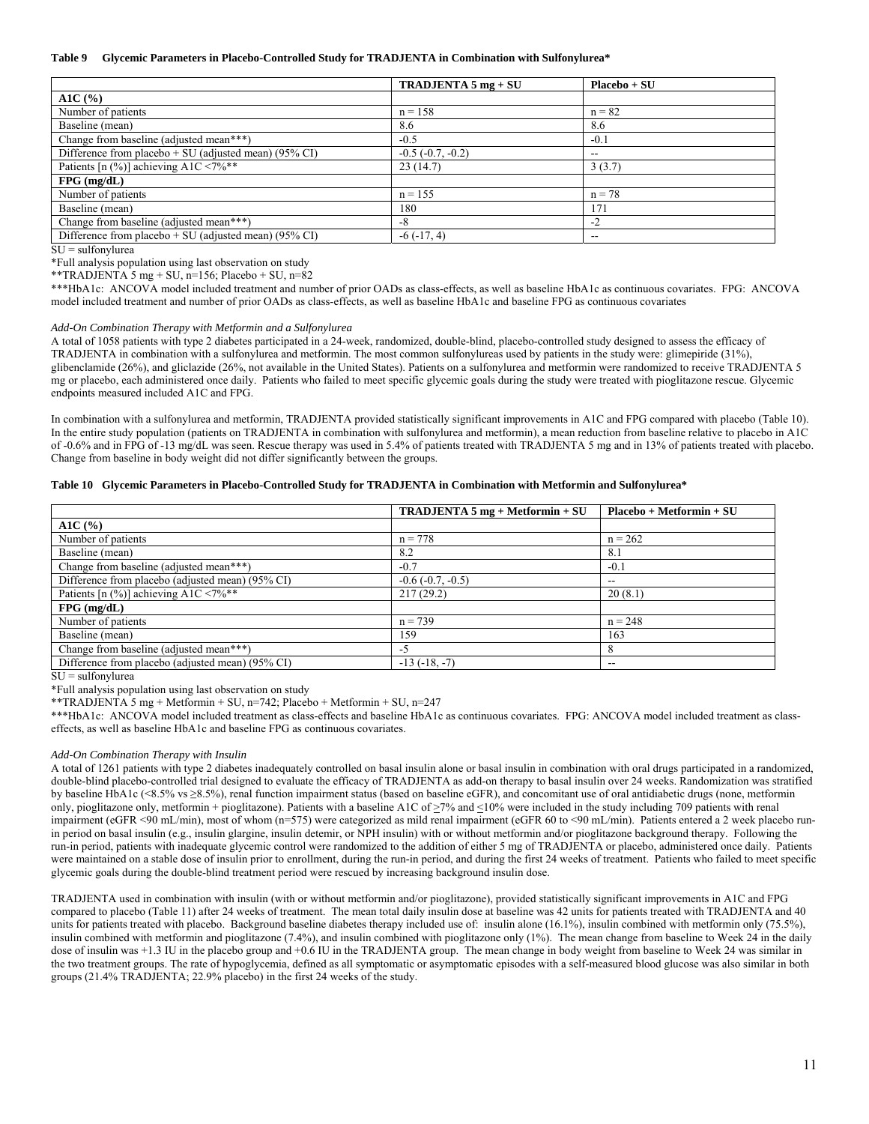## **Table 9 Glycemic Parameters in Placebo-Controlled Study for TRADJENTA in Combination with Sulfonylurea\***

|                                                                  | <b>TRADJENTA 5 mg + SU</b> | $Placebo + SU$ |
|------------------------------------------------------------------|----------------------------|----------------|
| A1C (%)                                                          |                            |                |
| Number of patients                                               | $n = 158$                  | $n = 82$       |
| Baseline (mean)                                                  | 8.6                        | 8.6            |
| Change from baseline (adjusted mean***)                          | $-0.5$                     | $-0.1$         |
| Difference from placebo + SU (adjusted mean) $(95\% \text{ CI})$ | $-0.5$ $(-0.7, -0.2)$      | $- -$          |
| Patients [n $(\%)$ ] achieving A1C <7%**                         | 23(14.7)                   | 3(3.7)         |
| $FPG$ (mg/dL)                                                    |                            |                |
| Number of patients                                               | $n = 155$                  | $n = 78$       |
| Baseline (mean)                                                  | 180                        | 171            |
| Change from baseline (adjusted mean***)                          | $-8$                       | $-2$           |
| Difference from placebo + SU (adjusted mean) (95% CI)            | $-6(-17, 4)$               | --             |

 $\overline{SU}$  = sulfonylurea

\*Full analysis population using last observation on study

\*\*TRADJENTA 5 mg + SU, n=156; Placebo + SU, n=82

\*\*\*HbA1c: ANCOVA model included treatment and number of prior OADs as class-effects, as well as baseline HbA1c as continuous covariates. FPG: ANCOVA model included treatment and number of prior OADs as class-effects, as well as baseline HbA1c and baseline FPG as continuous covariates

## *Add-On Combination Therapy with Metformin and a Sulfonylurea*

A total of 1058 patients with type 2 diabetes participated in a 24-week, randomized, double-blind, placebo-controlled study designed to assess the efficacy of TRADJENTA in combination with a sulfonylurea and metformin. The most common sulfonylureas used by patients in the study were: glimepiride (31%), glibenclamide (26%), and gliclazide (26%, not available in the United States). Patients on a sulfonylurea and metformin were randomized to receive TRADJENTA 5 mg or placebo, each administered once daily. Patients who failed to meet specific glycemic goals during the study were treated with pioglitazone rescue. Glycemic endpoints measured included A1C and FPG.

In combination with a sulfonylurea and metformin, TRADJENTA provided statistically significant improvements in A1C and FPG compared with placebo (Table 10). In the entire study population (patients on TRADJENTA in combination with sulfonylurea and metformin), a mean reduction from baseline relative to placebo in A1C of -0.6% and in FPG of -13 mg/dL was seen. Rescue therapy was used in 5.4% of patients treated with TRADJENTA 5 mg and in 13% of patients treated with placebo. Change from baseline in body weight did not differ significantly between the groups.

## **Table 10 Glycemic Parameters in Placebo-Controlled Study for TRADJENTA in Combination with Metformin and Sulfonylurea\***

|                                                  | <b>TRADJENTA 5 mg + Metformin + SU</b> | $Placebo + Metformin + SU$ |
|--------------------------------------------------|----------------------------------------|----------------------------|
| $A1C \,$ <sup>(%)</sup>                          |                                        |                            |
| Number of patients                               | $n = 778$                              | $n = 262$                  |
| Baseline (mean)                                  | 8.2                                    | 8.1                        |
| Change from baseline (adjusted mean***)          | $-0.7$                                 | $-0.1$                     |
| Difference from placebo (adjusted mean) (95% CI) | $-0.6$ $(-0.7, -0.5)$                  | $\overline{\phantom{m}}$   |
| Patients [n $(\%)$ ] achieving A1C <7%**         | 217(29.2)                              | 20(8.1)                    |
| $FPG$ (mg/dL)                                    |                                        |                            |
| Number of patients                               | $n = 739$                              | $n = 248$                  |
| Baseline (mean)                                  | 159                                    | 163                        |
| Change from baseline (adjusted mean***)          | $-5$                                   |                            |
| Difference from placebo (adjusted mean) (95% CI) | $-13(-18,-7)$                          | $- -$                      |

 $\overline{SU}$  = sulfonylurea

\*Full analysis population using last observation on study

\*\*TRADJENTA 5 mg + Metformin + SU, n=742; Placebo + Metformin + SU, n=247

\*\*\*HbA1c: ANCOVA model included treatment as class-effects and baseline HbA1c as continuous covariates. FPG: ANCOVA model included treatment as classeffects, as well as baseline HbA1c and baseline FPG as continuous covariates.

#### *Add-On Combination Therapy with Insulin*

A total of 1261 patients with type 2 diabetes inadequately controlled on basal insulin alone or basal insulin in combination with oral drugs participated in a randomized, double-blind placebo-controlled trial designed to evaluate the efficacy of TRADJENTA as add-on therapy to basal insulin over 24 weeks. Randomization was stratified by baseline HbA1c (<8.5% vs  $\geq$ 8.5%), renal function impairment status (based on baseline eGFR), and concomitant use of oral antidiabetic drugs (none, metformin only, pioglitazone only, metformin + pioglitazone). Patients with a baseline A1C of  $\geq$ 7% and  $\leq$ 10% were included in the study including 709 patients with renal impairment (eGFR <90 mL/min), most of whom (n=575) were categorized as mild renal impairment (eGFR 60 to <90 mL/min). Patients entered a 2 week placebo runin period on basal insulin (e.g., insulin glargine, insulin detemir, or NPH insulin) with or without metformin and/or pioglitazone background therapy. Following the run-in period, patients with inadequate glycemic control were randomized to the addition of either 5 mg of TRADJENTA or placebo, administered once daily. Patients were maintained on a stable dose of insulin prior to enrollment, during the run-in period, and during the first 24 weeks of treatment. Patients who failed to meet specific glycemic goals during the double-blind treatment period were rescued by increasing background insulin dose.

TRADJENTA used in combination with insulin (with or without metformin and/or pioglitazone), provided statistically significant improvements in A1C and FPG compared to placebo (Table 11) after 24 weeks of treatment. The mean total daily insulin dose at baseline was 42 units for patients treated with TRADJENTA and 40 units for patients treated with placebo. Background baseline diabetes therapy included use of: insulin alone (16.1%), insulin combined with metformin only (75.5%), insulin combined with metformin and pioglitazone (7.4%), and insulin combined with pioglitazone only (1%). The mean change from baseline to Week 24 in the daily dose of insulin was +1.3 IU in the placebo group and +0.6 IU in the TRADJENTA group. The mean change in body weight from baseline to Week 24 was similar in the two treatment groups. The rate of hypoglycemia, defined as all symptomatic or asymptomatic episodes with a self-measured blood glucose was also similar in both groups (21.4% TRADJENTA; 22.9% placebo) in the first 24 weeks of the study.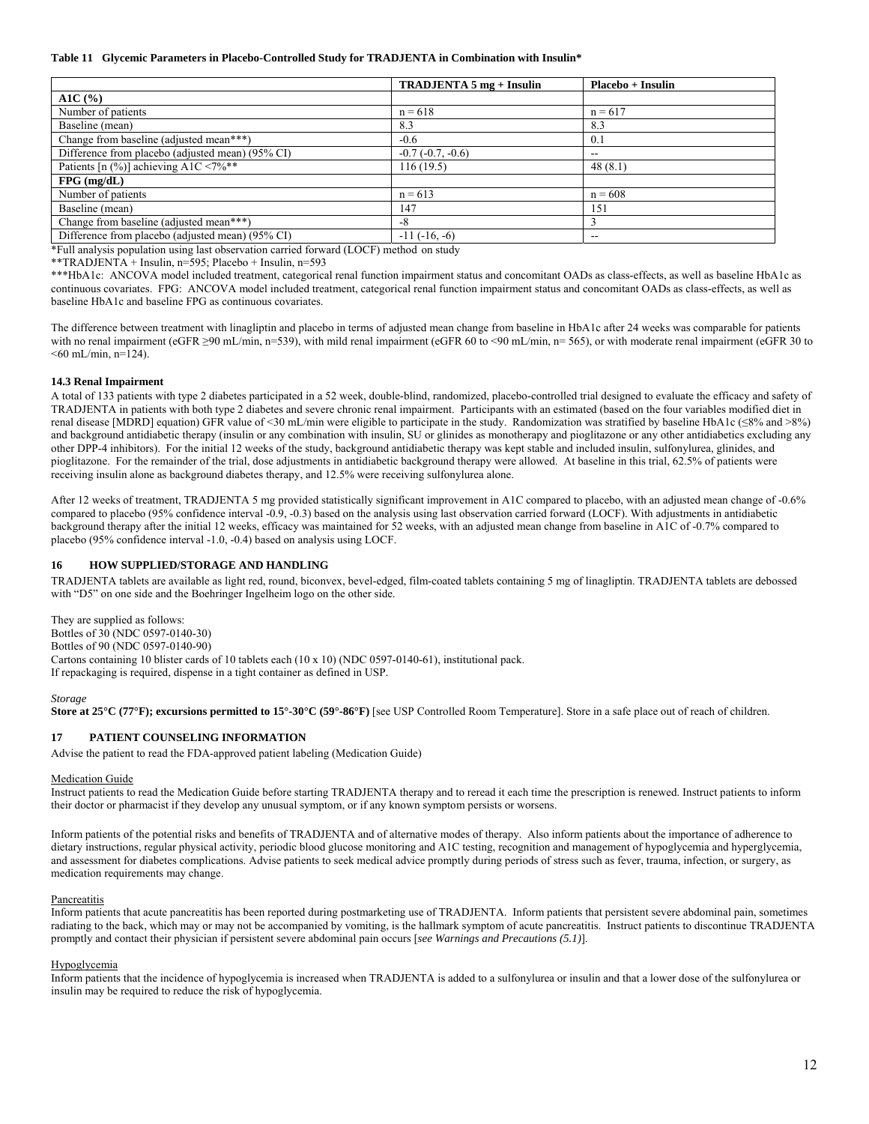## **Table 11 Glycemic Parameters in Placebo-Controlled Study for TRADJENTA in Combination with Insulin\***

|                                                  | <b>TRADJENTA 5 mg + Insulin</b> | Placebo + Insulin |
|--------------------------------------------------|---------------------------------|-------------------|
| A1C $(%$                                         |                                 |                   |
| Number of patients                               | $n = 618$                       | $n = 617$         |
| Baseline (mean)                                  | 8.3                             | 8.3               |
| Change from baseline (adjusted mean***)          | $-0.6$                          | 0.1               |
| Difference from placebo (adjusted mean) (95% CI) | $-0.7$ $(-0.7, -0.6)$           | $- -$             |
| Patients [n $(\%)$ ] achieving A1C <7%**         | 116(19.5)                       | 48(8.1)           |
| $FPG$ (mg/dL)                                    |                                 |                   |
| Number of patients                               | $n = 613$                       | $n = 608$         |
| Baseline (mean)                                  | 147                             | 151               |
| Change from baseline (adjusted mean***)          | $-8$                            |                   |
| Difference from placebo (adjusted mean) (95% CI) | $-11(-16,-6)$                   | --                |

\*Full analysis population using last observation carried forward (LOCF) method on study

\*\*TRADJENTA + Insulin,  $n=595$ ; Placebo + Insulin,  $n=593$ 

\*\*\*HbA1c: ANCOVA model included treatment, categorical renal function impairment status and concomitant OADs as class-effects, as well as baseline HbA1c as continuous covariates. FPG: ANCOVA model included treatment, categorical renal function impairment status and concomitant OADs as class-effects, as well as baseline HbA1c and baseline FPG as continuous covariates.

The difference between treatment with linagliptin and placebo in terms of adjusted mean change from baseline in HbA1c after 24 weeks was comparable for patients with no renal impairment (eGFR ≥90 mL/min, n=539), with mild renal impairment (eGFR 60 to <90 mL/min, n= 565), or with moderate renal impairment (eGFR 30 to  $\leq 60$  mL/min, n=124).

## **14.3 Renal Impairment**

A total of 133 patients with type 2 diabetes participated in a 52 week, double-blind, randomized, placebo-controlled trial designed to evaluate the efficacy and safety of TRADJENTA in patients with both type 2 diabetes and severe chronic renal impairment. Participants with an estimated (based on the four variables modified diet in renal disease [MDRD] equation) GFR value of <30 mL/min were eligible to participate in the study. Randomization was stratified by baseline HbA1c (≤8% and >8%) and background antidiabetic therapy (insulin or any combination with insulin, SU or glinides as monotherapy and pioglitazone or any other antidiabetics excluding any other DPP-4 inhibitors). For the initial 12 weeks of the study, background antidiabetic therapy was kept stable and included insulin, sulfonylurea, glinides, and pioglitazone. For the remainder of the trial, dose adjustments in antidiabetic background therapy were allowed. At baseline in this trial, 62.5% of patients were receiving insulin alone as background diabetes therapy, and 12.5% were receiving sulfonylurea alone.

After 12 weeks of treatment, TRADJENTA 5 mg provided statistically significant improvement in A1C compared to placebo, with an adjusted mean change of -0.6% compared to placebo (95% confidence interval -0.9, -0.3) based on the analysis using last observation carried forward (LOCF). With adjustments in antidiabetic background therapy after the initial 12 weeks, efficacy was maintained for 52 weeks, with an adjusted mean change from baseline in A1C of -0.7% compared to placebo (95% confidence interval -1.0, -0.4) based on analysis using LOCF.

## **16 HOW SUPPLIED/STORAGE AND HANDLING**

TRADJENTA tablets are available as light red, round, biconvex, bevel-edged, film-coated tablets containing 5 mg of linagliptin. TRADJENTA tablets are debossed with "D5" on one side and the Boehringer Ingelheim logo on the other side.

They are supplied as follows: Bottles of 30 (NDC 0597-0140-30) Bottles of 90 (NDC 0597-0140-90) Cartons containing 10 blister cards of 10 tablets each (10 x 10) (NDC 0597-0140-61), institutional pack. If repackaging is required, dispense in a tight container as defined in USP.

## *Storage*

**Store at 25°C (77°F); excursions permitted to 15°-30°C (59°-86°F)** [see USP Controlled Room Temperature]. Store in a safe place out of reach of children.

## **17 PATIENT COUNSELING INFORMATION**

Advise the patient to read the FDA-approved patient labeling (Medication Guide)

## Medication Guide

Instruct patients to read the Medication Guide before starting TRADJENTA therapy and to reread it each time the prescription is renewed. Instruct patients to inform their doctor or pharmacist if they develop any unusual symptom, or if any known symptom persists or worsens.

Inform patients of the potential risks and benefits of TRADJENTA and of alternative modes of therapy. Also inform patients about the importance of adherence to dietary instructions, regular physical activity, periodic blood glucose monitoring and A1C testing, recognition and management of hypoglycemia and hyperglycemia, and assessment for diabetes complications. Advise patients to seek medical advice promptly during periods of stress such as fever, trauma, infection, or surgery, as medication requirements may change.

## **Pancreatitis**

Inform patients that acute pancreatitis has been reported during postmarketing use of TRADJENTA. Inform patients that persistent severe abdominal pain, sometimes radiating to the back, which may or may not be accompanied by vomiting, is the hallmark symptom of acute pancreatitis. Instruct patients to discontinue TRADJENTA promptly and contact their physician if persistent severe abdominal pain occurs [*see Warnings and Precautions (5.1)*].

## Hypoglycemia

Inform patients that the incidence of hypoglycemia is increased when TRADJENTA is added to a sulfonylurea or insulin and that a lower dose of the sulfonylurea or insulin may be required to reduce the risk of hypoglycemia.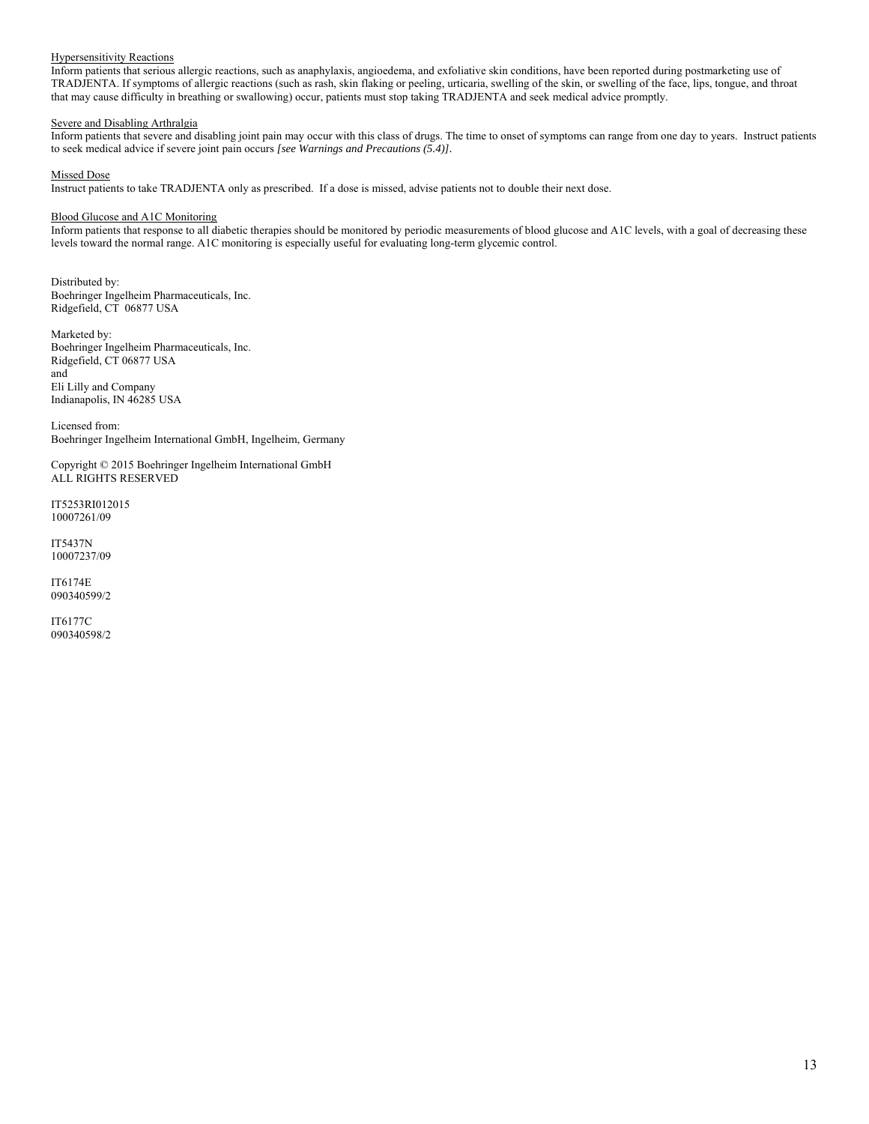## Hypersensitivity Reactions

Inform patients that serious allergic reactions, such as anaphylaxis, angioedema, and exfoliative skin conditions, have been reported during postmarketing use of TRADJENTA. If symptoms of allergic reactions (such as rash, skin flaking or peeling, urticaria, swelling of the skin, or swelling of the face, lips, tongue, and throat that may cause difficulty in breathing or swallowing) occur, patients must stop taking TRADJENTA and seek medical advice promptly.

## Severe and Disabling Arthralgia

Inform patients that severe and disabling joint pain may occur with this class of drugs. The time to onset of symptoms can range from one day to years. Instruct patients to seek medical advice if severe joint pain occurs *[see Warnings and Precautions (5.4)].* 

Missed Dose

Instruct patients to take TRADJENTA only as prescribed. If a dose is missed, advise patients not to double their next dose.

## Blood Glucose and A1C Monitoring

Inform patients that response to all diabetic therapies should be monitored by periodic measurements of blood glucose and A1C levels, with a goal of decreasing these levels toward the normal range. A1C monitoring is especially useful for evaluating long-term glycemic control.

Distributed by: Boehringer Ingelheim Pharmaceuticals, Inc. Ridgefield, CT 06877 USA

Marketed by: Boehringer Ingelheim Pharmaceuticals, Inc. Ridgefield, CT 06877 USA and Eli Lilly and Company Indianapolis, IN 46285 USA

Licensed from: Boehringer Ingelheim International GmbH, Ingelheim, Germany

Copyright © 2015 Boehringer Ingelheim International GmbH ALL RIGHTS RESERVED

IT5253RI012015 10007261/09

IT5437N 10007237/09

IT6174E 090340599/2

IT6177C 090340598/2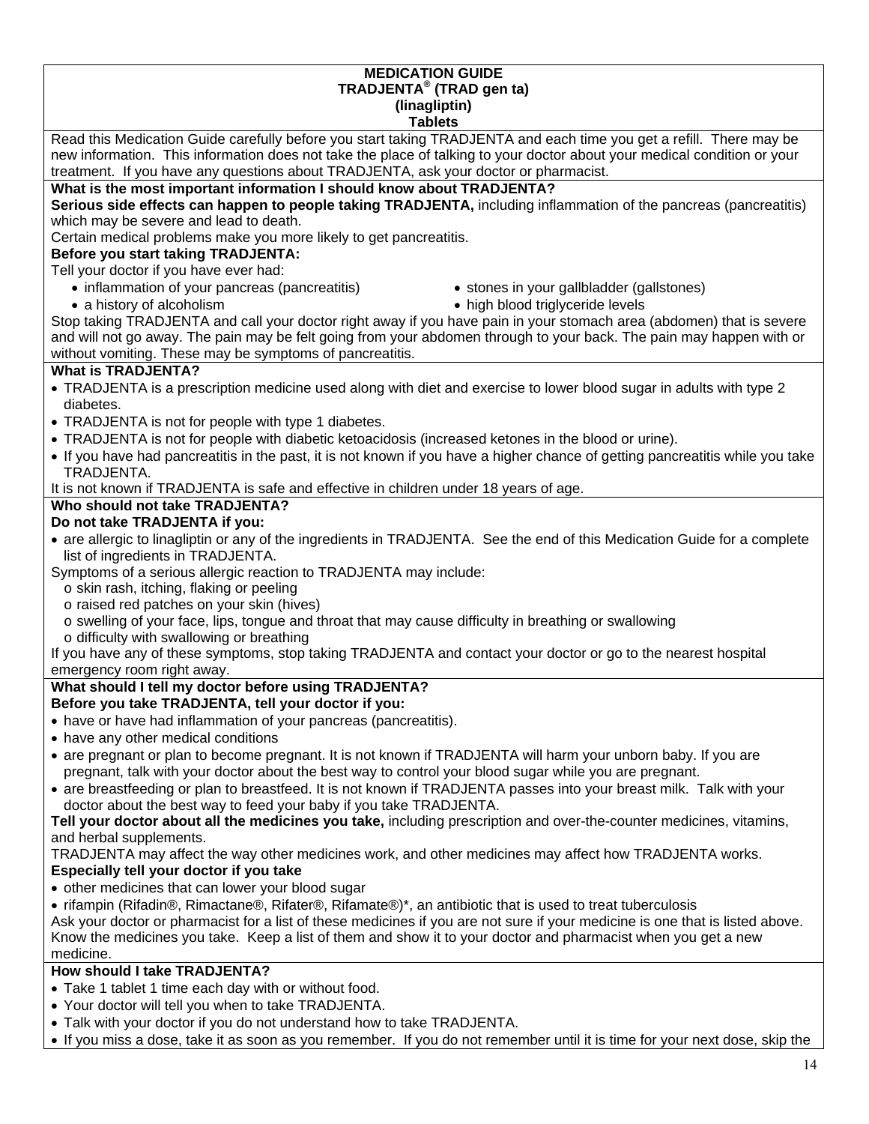## **MEDICATION GUIDE TRADJENTA® (TRAD gen ta) (linagliptin) Tablets** Read this Medication Guide carefully before you start taking TRADJENTA and each time you get a refill. There may be new information. This information does not take the place of talking to your doctor about your medical condition or your treatment. If you have any questions about TRADJENTA, ask your doctor or pharmacist. **What is the most important information I should know about TRADJENTA? Serious side effects can happen to people taking TRADJENTA,** including inflammation of the pancreas (pancreatitis) which may be severe and lead to death. Certain medical problems make you more likely to get pancreatitis. **Before you start taking TRADJENTA:**  Tell your doctor if you have ever had: • inflammation of your pancreas (pancreatitis) • stones in your gallbladder (gallstones) • a history of alcoholism **high blood triglyceride levels** Stop taking TRADJENTA and call your doctor right away if you have pain in your stomach area (abdomen) that is severe and will not go away. The pain may be felt going from your abdomen through to your back. The pain may happen with or without vomiting. These may be symptoms of pancreatitis. **What is TRADJENTA?**  TRADJENTA is a prescription medicine used along with diet and exercise to lower blood sugar in adults with type 2 diabetes. TRADJENTA is not for people with type 1 diabetes. TRADJENTA is not for people with diabetic ketoacidosis (increased ketones in the blood or urine). If you have had pancreatitis in the past, it is not known if you have a higher chance of getting pancreatitis while you take TRADJENTA. It is not known if TRADJENTA is safe and effective in children under 18 years of age. **Who should not take TRADJENTA? Do not take TRADJENTA if you:**  • are allergic to linagliptin or any of the ingredients in TRADJENTA. See the end of this Medication Guide for a complete list of ingredients in TRADJENTA. Symptoms of a serious allergic reaction to TRADJENTA may include: o skin rash, itching, flaking or peeling o raised red patches on your skin (hives) o swelling of your face, lips, tongue and throat that may cause difficulty in breathing or swallowing o difficulty with swallowing or breathing If you have any of these symptoms, stop taking TRADJENTA and contact your doctor or go to the nearest hospital emergency room right away. **What should I tell my doctor before using TRADJENTA? Before you take TRADJENTA, tell your doctor if you:** • have or have had inflammation of your pancreas (pancreatitis). • have any other medical conditions • are pregnant or plan to become pregnant. It is not known if TRADJENTA will harm your unborn baby. If you are pregnant, talk with your doctor about the best way to control your blood sugar while you are pregnant. are breastfeeding or plan to breastfeed. It is not known if TRADJENTA passes into your breast milk. Talk with your doctor about the best way to feed your baby if you take TRADJENTA. **Tell your doctor about all the medicines you take,** including prescription and over-the-counter medicines, vitamins, and herbal supplements. TRADJENTA may affect the way other medicines work, and other medicines may affect how TRADJENTA works. **Especially tell your doctor if you take** • other medicines that can lower your blood sugar rifampin (Rifadin®, Rimactane®, Rifater®, Rifamate®)\*, an antibiotic that is used to treat tuberculosis Ask your doctor or pharmacist for a list of these medicines if you are not sure if your medicine is one that is listed above. Know the medicines you take. Keep a list of them and show it to your doctor and pharmacist when you get a new medicine. **How should I take TRADJENTA?**  Take 1 tablet 1 time each day with or without food.

- Your doctor will tell you when to take TRADJENTA.
- Talk with your doctor if you do not understand how to take TRADJENTA.
- If you miss a dose, take it as soon as you remember. If you do not remember until it is time for your next dose, skip the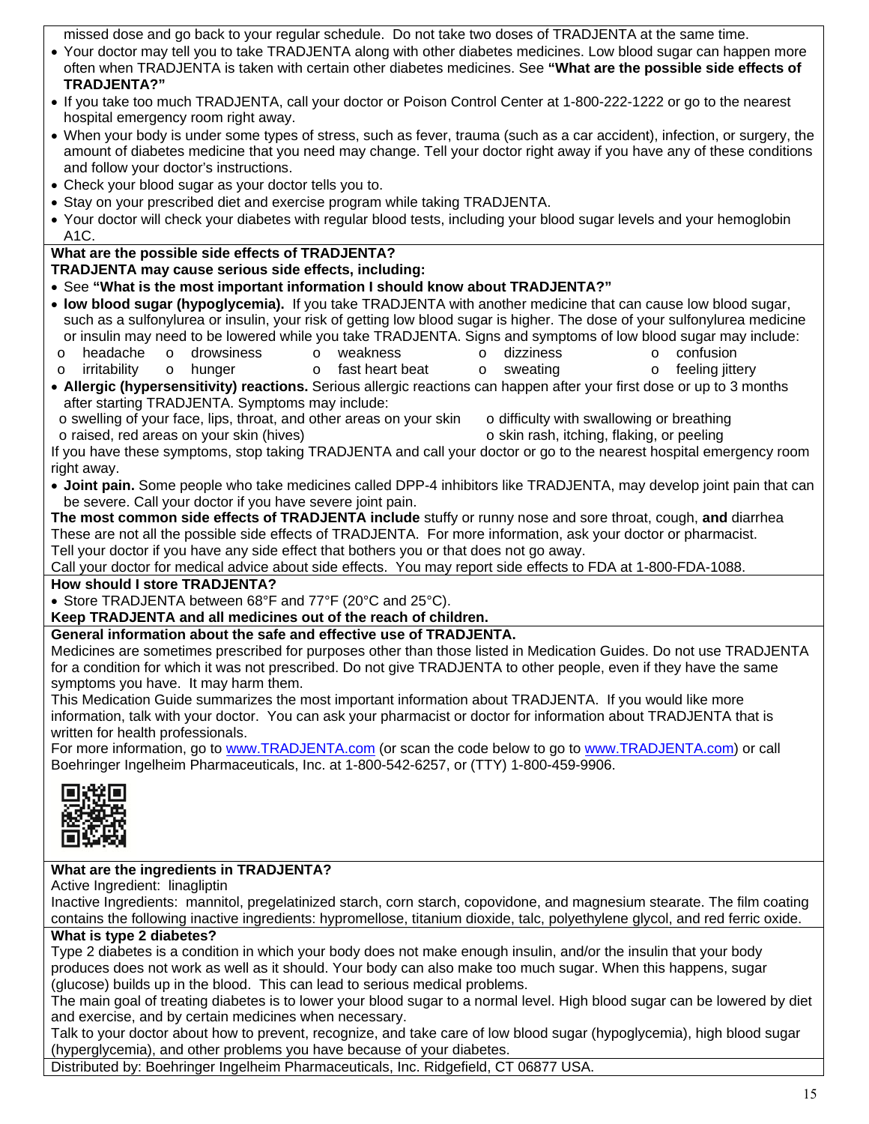missed dose and go back to your regular schedule. Do not take two doses of TRADJENTA at the same time.

- Your doctor may tell you to take TRADJENTA along with other diabetes medicines. Low blood sugar can happen more often when TRADJENTA is taken with certain other diabetes medicines. See **"What are the possible side effects of TRADJENTA?"**
- If you take too much TRADJENTA, call your doctor or Poison Control Center at 1-800-222-1222 or go to the nearest hospital emergency room right away.
- When your body is under some types of stress, such as fever, trauma (such as a car accident), infection, or surgery, the amount of diabetes medicine that you need may change. Tell your doctor right away if you have any of these conditions and follow your doctor's instructions.
- Check your blood sugar as your doctor tells you to.
- Stay on your prescribed diet and exercise program while taking TRADJENTA.
- Your doctor will check your diabetes with regular blood tests, including your blood sugar levels and your hemoglobin A1C.

# **What are the possible side effects of TRADJENTA?**

# **TRADJENTA may cause serious side effects, including:**

- See **"What is the most important information I should know about TRADJENTA?"**
- **low blood sugar (hypoglycemia).** If you take TRADJENTA with another medicine that can cause low blood sugar, such as a sulfonylurea or insulin, your risk of getting low blood sugar is higher. The dose of your sulfonylurea medicine or insulin may need to be lowered while you take TRADJENTA. Signs and symptoms of low blood sugar may include:<br>b headache o drowsiness o weakness o dizziness o confusion
- o headache o drowsiness o weakness o dizziness o confusion
- $\circ$  irritability  $\circ$  hunger  $\circ$  fast heart beat  $\circ$  sweating  $\circ$  feeling jittery
- **Allergic (hypersensitivity) reactions.** Serious allergic reactions can happen after your first dose or up to 3 months after starting TRADJENTA. Symptoms may include:
- $\circ$  swelling of your face, lips, throat, and other areas on your skin  $\circ$  difficulty with swallowing or breathing
- o raised, red areas on your skin (hives) o skin rash, itching, flaking, or peeling

If you have these symptoms, stop taking TRADJENTA and call your doctor or go to the nearest hospital emergency room right away.

 **Joint pain.** Some people who take medicines called DPP-4 inhibitors like TRADJENTA, may develop joint pain that can be severe. Call your doctor if you have severe joint pain.

**The most common side effects of TRADJENTA include** stuffy or runny nose and sore throat, cough, **and** diarrhea These are not all the possible side effects of TRADJENTA. For more information, ask your doctor or pharmacist. Tell your doctor if you have any side effect that bothers you or that does not go away.

Call your doctor for medical advice about side effects. You may report side effects to FDA at 1-800-FDA-1088.

# **How should I store TRADJENTA?**

Store TRADJENTA between 68°F and 77°F (20°C and 25°C).

# **Keep TRADJENTA and all medicines out of the reach of children.**

**General information about the safe and effective use of TRADJENTA.** 

Medicines are sometimes prescribed for purposes other than those listed in Medication Guides. Do not use TRADJENTA for a condition for which it was not prescribed. Do not give TRADJENTA to other people, even if they have the same symptoms you have. It may harm them.

This Medication Guide summarizes the most important information about TRADJENTA. If you would like more information, talk with your doctor. You can ask your pharmacist or doctor for information about TRADJENTA that is written for health professionals.

For more information, go to www.TRADJENTA.com (or scan the code below to go to www.TRADJENTA.com) or call Boehringer Ingelheim Pharmaceuticals, Inc. at 1-800-542-6257, or (TTY) 1-800-459-9906.



# **What are the ingredients in TRADJENTA?**

Active Ingredient: linagliptin

Inactive Ingredients: mannitol, pregelatinized starch, corn starch, copovidone, and magnesium stearate. The film coating contains the following inactive ingredients: hypromellose, titanium dioxide, talc, polyethylene glycol, and red ferric oxide.

# **What is type 2 diabetes?**

Type 2 diabetes is a condition in which your body does not make enough insulin, and/or the insulin that your body produces does not work as well as it should. Your body can also make too much sugar. When this happens, sugar (glucose) builds up in the blood. This can lead to serious medical problems.

The main goal of treating diabetes is to lower your blood sugar to a normal level. High blood sugar can be lowered by diet and exercise, and by certain medicines when necessary.

Talk to your doctor about how to prevent, recognize, and take care of low blood sugar (hypoglycemia), high blood sugar (hyperglycemia), and other problems you have because of your diabetes.

Distributed by: Boehringer Ingelheim Pharmaceuticals, Inc. Ridgefield, CT 06877 USA.